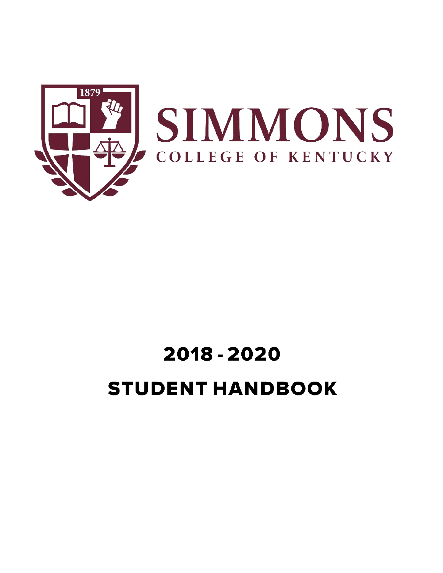

# 2018 - 2020 **STUDENT HANDBOOK**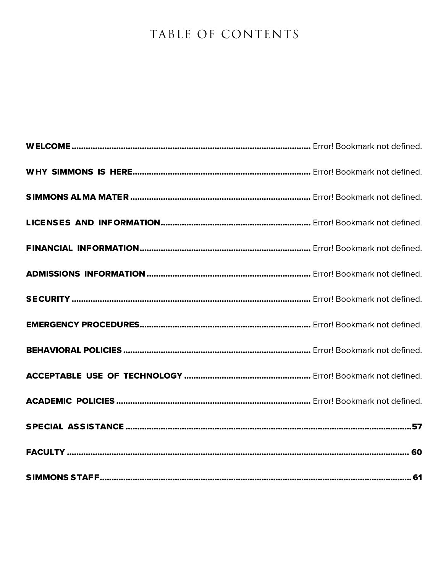# TABLE OF CONTENTS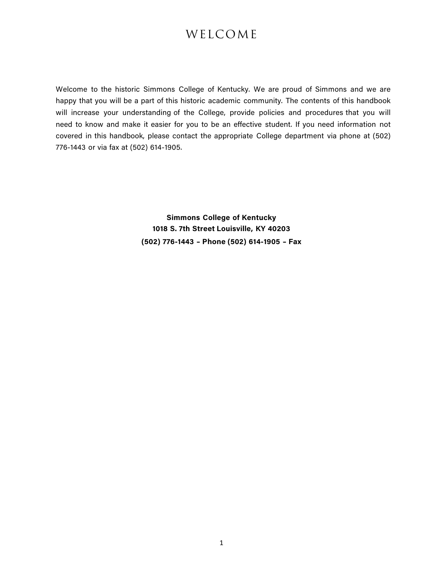# WELCOME

Welcome to the historic Simmons College of Kentucky. We are proud of Simmons and we are happy that you will be a part of this historic academic community. The contents of this handbook will increase your understanding of the College, provide policies and procedures that you will need to know and make it easier for you to be an effective student. If you need information not covered in this handbook, please contact the appropriate College department via phone at (502) 776-1443 or via fax at (502) 614-1905.

> **Simmons College of Kentucky 1018 S. 7th Street Louisville, KY 40203 (502) 776-1443 – Phone (502) 614-1905 – Fax**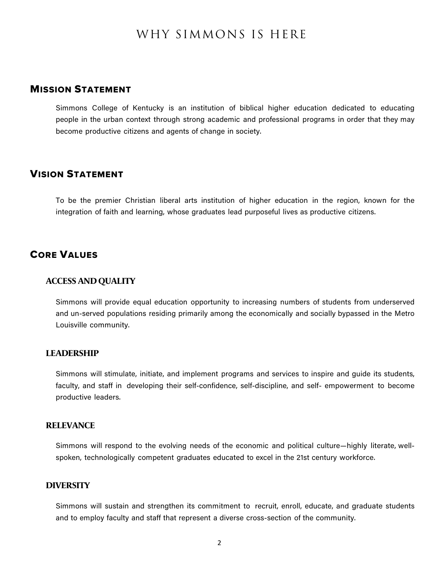# WHY SIMMONS IS HERE

# MISSION STATEMENT

Simmons College of Kentucky is an institution of biblical higher education dedicated to educating people in the urban context through strong academic and professional programs in order that they may become productive citizens and agents of change in society.

# VISION STATEMENT

To be the premier Christian liberal arts institution of higher education in the region, known for the integration of faith and learning, whose graduates lead purposeful lives as productive citizens.

### CORE VALUES

#### **ACCESS AND QUALITY**

Simmons will provide equal education opportunity to increasing numbers of students from underserved and un-served populations residing primarily among the economically and socially bypassed in the Metro Louisville community.

#### **LEADERSHIP**

Simmons will stimulate, initiate, and implement programs and services to inspire and guide its students, faculty, and staff in developing their self-confidence, self-discipline, and self- empowerment to become productive leaders.

#### **RELEVANCE**

Simmons will respond to the evolving needs of the economic and political culture—highly literate, wellspoken, technologically competent graduates educated to excel in the 21st century workforce.

#### **DIVERSITY**

Simmons will sustain and strengthen its commitment to recruit, enroll, educate, and graduate students and to employ faculty and staff that represent a diverse cross-section of the community.

 $\mathfrak{p}$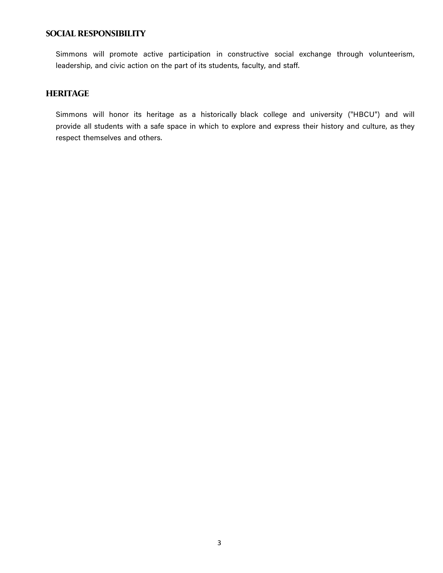### **SOCIAL RESPONSIBILITY**

Simmons will promote active participation in constructive social exchange through volunteerism, leadership, and civic action on the part of its students, faculty, and staff.

# **HERITAGE**

Simmons will honor its heritage as a historically black college and university ("HBCU") and will provide all students with a safe space in which to explore and express their history and culture, as they respect themselves and others.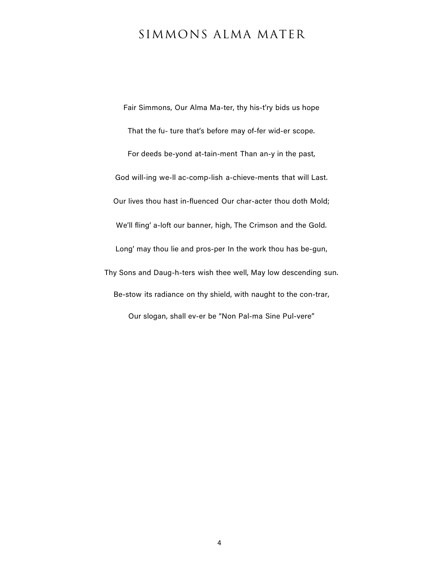# SIMMONS ALMA MATER

Fair Simmons, Our Alma Ma-ter, thy his-t'ry bids us hope That the fu- ture that's before may of-fer wid-er scope. For deeds be-yond at-tain-ment Than an-y in the past, God will-ing we-ll ac-comp-lish a-chieve-ments that will Last. Our lives thou hast in-fluenced Our char-acter thou doth Mold; We'll fling' a-loft our banner, high, The Crimson and the Gold. Long' may thou lie and pros-per In the work thou has be-gun, Thy Sons and Daug-h-ters wish thee well, May low descending sun. Be-stow its radiance on thy shield, with naught to the con-trar, Our slogan, shall ev-er be "Non Pal-ma Sine Pul-vere"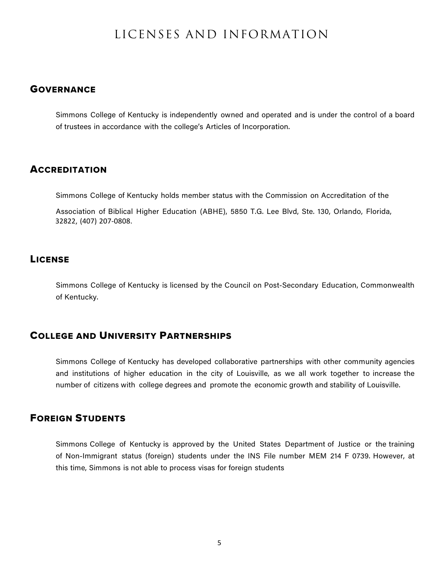# LICENSES AND INFORMATION

# **GOVERNANCE**

Simmons College of Kentucky is independently owned and operated and is under the control of a board of trustees in accordance with the college's Articles of Incorporation.

#### **ACCREDITATION**

Simmons College of Kentucky holds member status with the Commission on Accreditation of the

Association of Biblical Higher Education (ABHE), 5850 T.G. Lee Blvd, Ste. 130, Orlando, Florida, 32822, (407) 207-0808.

# **LICENSE**

Simmons College of Kentucky is licensed by the Council on Post-Secondary Education, Commonwealth of Kentucky.

# COLLEGE AND UNIVERSITY PARTNERSHIPS

Simmons College of Kentucky has developed collaborative partnerships with other community agencies and institutions of higher education in the city of Louisville, as we all work together to increase the number of citizens with college degrees and promote the economic growth and stability of Louisville.

# FOREIGN STUDENTS

Simmons College of Kentucky is approved by the United States Department of Justice or the training of Non-Immigrant status (foreign) students under the INS File number MEM 214 F 0739. However, at this time, Simmons is not able to process visas for foreign students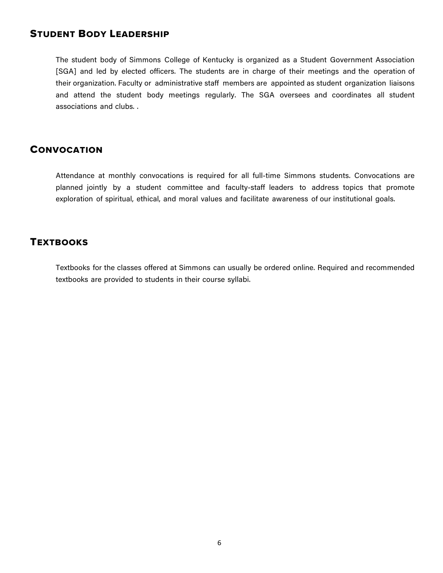# STUDENT BODY LEADERSHIP

The student body of Simmons College of Kentucky is organized as a Student Government Association [SGA] and led by elected officers. The students are in charge of their meetings and the operation of their organization. Faculty or administrative staff members are appointed as student organization liaisons and attend the student body meetings regularly. The SGA oversees and coordinates all student associations and clubs. .

#### **CONVOCATION**

Attendance at monthly convocations is required for all full-time Simmons students. Convocations are planned jointly by a student committee and faculty-staff leaders to address topics that promote exploration of spiritual, ethical, and moral values and facilitate awareness of our institutional goals.

# **TEXTBOOKS**

Textbooks for the classes offered at Simmons can usually be ordered online. Required and recommended textbooks are provided to students in their course syllabi.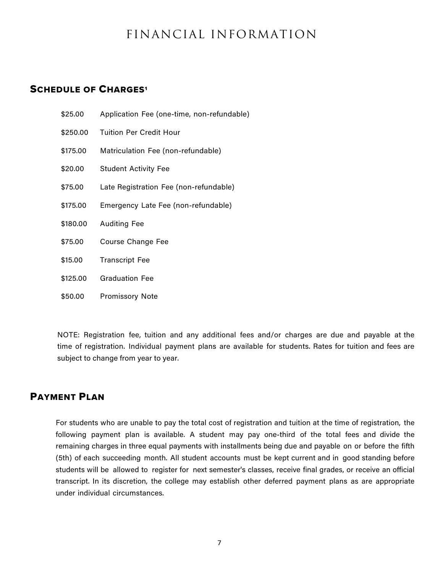# FINANCIAL INFORMATION

# **SCHEDULE OF CHARGES<sup>1</sup>**

| \$25.00  | Application Fee (one-time, non-refundable) |
|----------|--------------------------------------------|
| \$250.00 | Tuition Per Credit Hour                    |
| \$175,00 | Matriculation Fee (non-refundable)         |
| \$20.00  | <b>Student Activity Fee</b>                |
| \$75.00  | Late Registration Fee (non-refundable)     |
| \$175.00 | Emergency Late Fee (non-refundable)        |
| \$180.00 | <b>Auditing Fee</b>                        |
| \$75.00  | Course Change Fee                          |
| \$15.00  | <b>Transcript Fee</b>                      |
| \$125,00 | <b>Graduation Fee</b>                      |

\$50.00 Promissory Note

NOTE: Registration fee, tuition and any additional fees and/or charges are due and payable at the time of registration. Individual payment plans are available for students. Rates for tuition and fees are subject to change from year to year.

### PAYMENT PLAN

For students who are unable to pay the total cost of registration and tuition at the time of registration, the following payment plan is available. A student may pay one-third of the total fees and divide the remaining charges in three equal payments with installments being due and payable on or before the fifth (5th) of each succeeding month. All student accounts must be kept current and in good standing before students will be allowed to register for next semester's classes, receive final grades, or receive an official transcript. In its discretion, the college may establish other deferred payment plans as are appropriate under individual circumstances.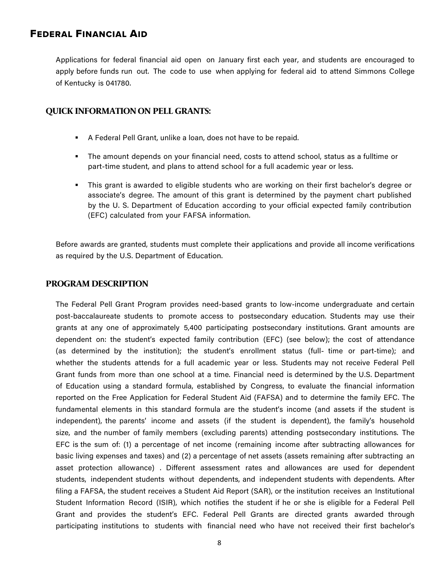# FEDERAL FINANCIAL AID

Applications for federal financial aid open on January first each year, and students are encouraged to apply before funds run out. The code to use when applying for federal aid to attend Simmons College of Kentucky is 041780.

#### **QUICK INFORMATION ON PELL GRANTS:**

- § A Federal Pell Grant, unlike a loan, does not have to be repaid.
- § The amount depends on your financial need, costs to attend school, status as a fulltime or part-time student, and plans to attend school for a full academic year or less.
- § This grant is awarded to eligible students who are working on their first bachelor's degree or associate's degree. The amount of this grant is determined by the payment chart published by the U. S. Department of Education according to your official expected family contribution (EFC) calculated from your FAFSA information.

Before awards are granted, students must complete their applications and provide all income verifications as required by the U.S. Department of Education.

#### **PROGRAM DESCRIPTION**

The Federal Pell Grant Program provides need-based grants to low-income undergraduate and certain post-baccalaureate students to promote access to postsecondary education. Students may use their grants at any one of approximately 5,400 participating postsecondary institutions. Grant amounts are dependent on: the student's expected family contribution (EFC) (see below); the cost of attendance (as determined by the institution); the student's enrollment status (full- time or part-time); and whether the students attends for a full academic year or less. Students may not receive Federal Pell Grant funds from more than one school at a time. Financial need is determined by the U.S. Department of Education using a standard formula, established by Congress, to evaluate the financial information reported on the Free Application for Federal Student Aid (FAFSA) and to determine the family EFC. The fundamental elements in this standard formula are the student's income (and assets if the student is independent), the parents' income and assets (if the student is dependent), the family's household size, and the number of family members (excluding parents) attending postsecondary institutions. The EFC is the sum of: (1) a percentage of net income (remaining income after subtracting allowances for basic living expenses and taxes) and (2) a percentage of net assets (assets remaining after subtracting an asset protection allowance) . Different assessment rates and allowances are used for dependent students, independent students without dependents, and independent students with dependents. After filing a FAFSA, the student receives a Student Aid Report (SAR), or the institution receives an Institutional Student Information Record (ISIR), which notifies the student if he or she is eligible for a Federal Pell Grant and provides the student's EFC. Federal Pell Grants are directed grants awarded through participating institutions to students with financial need who have not received their first bachelor's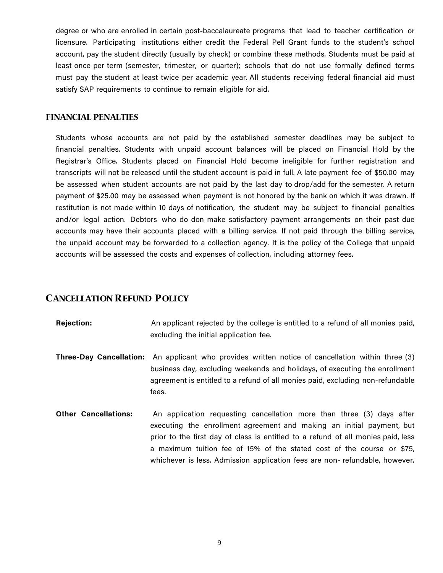degree or who are enrolled in certain post-baccalaureate programs that lead to teacher certification or licensure. Participating institutions either credit the Federal Pell Grant funds to the student's school account, pay the student directly (usually by check) or combine these methods. Students must be paid at least once per term (semester, trimester, or quarter); schools that do not use formally defined terms must pay the student at least twice per academic year. All students receiving federal financial aid must satisfy SAP requirements to continue to remain eligible for aid.

#### **FINANCIAL PENALTIES**

Students whose accounts are not paid by the established semester deadlines may be subject to financial penalties. Students with unpaid account balances will be placed on Financial Hold by the Registrar's Office. Students placed on Financial Hold become ineligible for further registration and transcripts will not be released until the student account is paid in full. A late payment fee of \$50.00 may be assessed when student accounts are not paid by the last day to drop/add for the semester. A return payment of \$25.00 may be assessed when payment is not honored by the bank on which it was drawn. If restitution is not made within 10 days of notification, the student may be subject to financial penalties and/or legal action. Debtors who do don make satisfactory payment arrangements on their past due accounts may have their accounts placed with a billing service. If not paid through the billing service, the unpaid account may be forwarded to a collection agency. It is the policy of the College that unpaid accounts will be assessed the costs and expenses of collection, including attorney fees.

# **CANCELLATION REFUND POLICY**

| <b>Rejection:</b>           | An applicant rejected by the college is entitled to a refund of all monies paid,<br>excluding the initial application fee.                                                                                                                                                                                                                                                                 |
|-----------------------------|--------------------------------------------------------------------------------------------------------------------------------------------------------------------------------------------------------------------------------------------------------------------------------------------------------------------------------------------------------------------------------------------|
|                             | <b>Three-Day Cancellation:</b> An applicant who provides written notice of cancellation within three (3)<br>business day, excluding weekends and holidays, of executing the enrollment<br>agreement is entitled to a refund of all monies paid, excluding non-refundable<br>fees.                                                                                                          |
| <b>Other Cancellations:</b> | An application requesting cancellation more than three (3) days after<br>executing the enrollment agreement and making an initial payment, but<br>prior to the first day of class is entitled to a refund of all monies paid, less<br>a maximum tuition fee of 15% of the stated cost of the course or \$75,<br>whichever is less. Admission application fees are non-refundable, however. |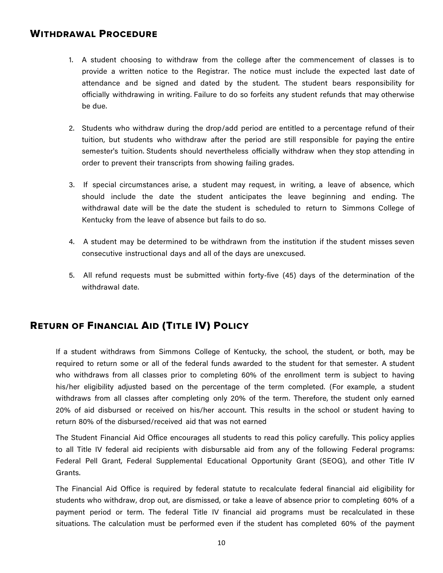# WITHDRAWAL PROCEDURE

- 1. A student choosing to withdraw from the college after the commencement of classes is to provide a written notice to the Registrar. The notice must include the expected last date of attendance and be signed and dated by the student. The student bears responsibility for officially withdrawing in writing. Failure to do so forfeits any student refunds that may otherwise be due.
- 2. Students who withdraw during the drop/add period are entitled to a percentage refund of their tuition, but students who withdraw after the period are still responsible for paying the entire semester's tuition. Students should nevertheless officially withdraw when they stop attending in order to prevent their transcripts from showing failing grades.
- 3. If special circumstances arise, a student may request, in writing, a leave of absence, which should include the date the student anticipates the leave beginning and ending. The withdrawal date will be the date the student is scheduled to return to Simmons College of Kentucky from the leave of absence but fails to do so.
- 4. A student may be determined to be withdrawn from the institution if the student misses seven consecutive instructional days and all of the days are unexcused.
- 5. All refund requests must be submitted within forty-five (45) days of the determination of the withdrawal date.

# RETURN OF FINANCIAL AID (TITLE IV) POLICY

If a student withdraws from Simmons College of Kentucky, the school, the student, or both, may be required to return some or all of the federal funds awarded to the student for that semester. A student who withdraws from all classes prior to completing 60% of the enrollment term is subject to having his/her eligibility adjusted based on the percentage of the term completed. (For example, a student withdraws from all classes after completing only 20% of the term. Therefore, the student only earned 20% of aid disbursed or received on his/her account. This results in the school or student having to return 80% of the disbursed/received aid that was not earned

The Student Financial Aid Office encourages all students to read this policy carefully. This policy applies to all Title IV federal aid recipients with disbursable aid from any of the following Federal programs: Federal Pell Grant, Federal Supplemental Educational Opportunity Grant (SEOG), and other Title IV Grants.

The Financial Aid Office is required by federal statute to recalculate federal financial aid eligibility for students who withdraw, drop out, are dismissed, or take a leave of absence prior to completing 60% of a payment period or term. The federal Title IV financial aid programs must be recalculated in these situations. The calculation must be performed even if the student has completed 60% of the payment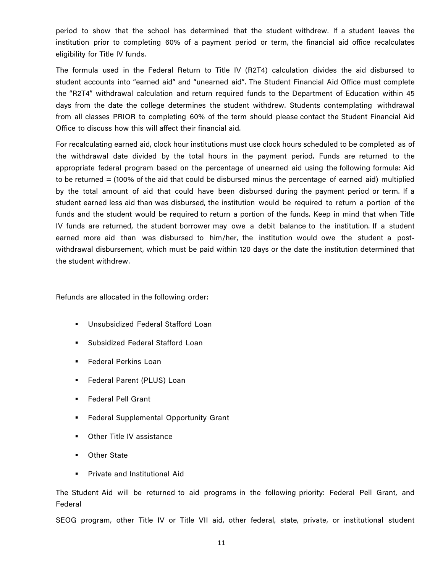period to show that the school has determined that the student withdrew. If a student leaves the institution prior to completing 60% of a payment period or term, the financial aid office recalculates eligibility for Title IV funds.

The formula used in the Federal Return to Title IV (R2T4) calculation divides the aid disbursed to student accounts into "earned aid" and "unearned aid". The Student Financial Aid Office must complete the "R2T4" withdrawal calculation and return required funds to the Department of Education within 45 days from the date the college determines the student withdrew. Students contemplating withdrawal from all classes PRIOR to completing 60% of the term should please contact the Student Financial Aid Office to discuss how this will affect their financial aid.

For recalculating earned aid, clock hour institutions must use clock hours scheduled to be completed as of the withdrawal date divided by the total hours in the payment period. Funds are returned to the appropriate federal program based on the percentage of unearned aid using the following formula: Aid to be returned = (100% of the aid that could be disbursed minus the percentage of earned aid) multiplied by the total amount of aid that could have been disbursed during the payment period or term. If a student earned less aid than was disbursed, the institution would be required to return a portion of the funds and the student would be required to return a portion of the funds. Keep in mind that when Title IV funds are returned, the student borrower may owe a debit balance to the institution. If a student earned more aid than was disbursed to him/her, the institution would owe the student a postwithdrawal disbursement, which must be paid within 120 days or the date the institution determined that the student withdrew.

Refunds are allocated in the following order:

- Unsubsidized Federal Stafford Loan
- § Subsidized Federal Stafford Loan
- § Federal Perkins Loan
- Federal Parent (PLUS) Loan
- § Federal Pell Grant
- **Federal Supplemental Opportunity Grant**
- Other Title IV assistance
- Other State
- § Private and Institutional Aid

The Student Aid will be returned to aid programs in the following priority: Federal Pell Grant, and Federal

SEOG program, other Title IV or Title VII aid, other federal, state, private, or institutional student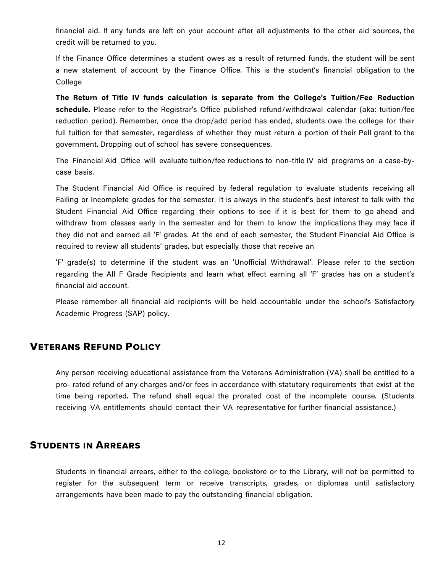financial aid. If any funds are left on your account after all adjustments to the other aid sources, the credit will be returned to you.

If the Finance Office determines a student owes as a result of returned funds, the student will be sent a new statement of account by the Finance Office. This is the student's financial obligation to the College

**The Return of Title IV funds calculation is separate from the College's Tuition/Fee Reduction schedule.** Please refer to the Registrar's Office published refund/withdrawal calendar (aka: tuition/fee reduction period). Remember, once the drop/add period has ended, students owe the college for their full tuition for that semester, regardless of whether they must return a portion of their Pell grant to the government. Dropping out of school has severe consequences.

The Financial Aid Office will evaluate tuition/fee reductions to non-title IV aid programs on a case-bycase basis.

The Student Financial Aid Office is required by federal regulation to evaluate students receiving all Failing or Incomplete grades for the semester. It is always in the student's best interest to talk with the Student Financial Aid Office regarding their options to see if it is best for them to go ahead and withdraw from classes early in the semester and for them to know the implications they may face if they did not and earned all 'F' grades. At the end of each semester, the Student Financial Aid Office is required to review all students' grades, but especially those that receive an

'F' grade(s) to determine if the student was an 'Unofficial Withdrawal'. Please refer to the section regarding the All F Grade Recipients and learn what effect earning all 'F' grades has on a student's financial aid account.

Please remember all financial aid recipients will be held accountable under the school's Satisfactory Academic Progress (SAP) policy.

# VETERANS REFUND POLICY

Any person receiving educational assistance from the Veterans Administration (VA) shall be entitled to a pro- rated refund of any charges and/or fees in accordance with statutory requirements that exist at the time being reported. The refund shall equal the prorated cost of the incomplete course. (Students receiving VA entitlements should contact their VA representative for further financial assistance.)

# STUDENTS IN ARREARS

Students in financial arrears, either to the college, bookstore or to the Library, will not be permitted to register for the subsequent term or receive transcripts, grades, or diplomas until satisfactory arrangements have been made to pay the outstanding financial obligation.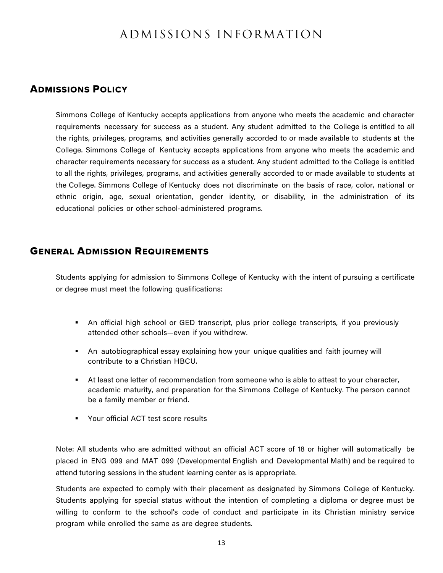# ADMISSIONS INFORMATION

# ADMISSIONS POLICY

Simmons College of Kentucky accepts applications from anyone who meets the academic and character requirements necessary for success as a student. Any student admitted to the College is entitled to all the rights, privileges, programs, and activities generally accorded to or made available to students at the College. Simmons College of Kentucky accepts applications from anyone who meets the academic and character requirements necessary for success as a student. Any student admitted to the College is entitled to all the rights, privileges, programs, and activities generally accorded to or made available to students at the College. Simmons College of Kentucky does not discriminate on the basis of race, color, national or ethnic origin, age, sexual orientation, gender identity, or disability, in the administration of its educational policies or other school-administered programs.

# GENERAL ADMISSION REQUIREMENTS

Students applying for admission to Simmons College of Kentucky with the intent of pursuing a certificate or degree must meet the following qualifications:

- An official high school or GED transcript, plus prior college transcripts, if you previously attended other schools—even if you withdrew.
- An autobiographical essay explaining how your unique qualities and faith journey will contribute to a Christian HBCU.
- **•** At least one letter of recommendation from someone who is able to attest to your character, academic maturity, and preparation for the Simmons College of Kentucky. The person cannot be a family member or friend.
- § Your official ACT test score results

Note: All students who are admitted without an official ACT score of 18 or higher will automatically be placed in ENG 099 and MAT 099 (Developmental English and Developmental Math) and be required to attend tutoring sessions in the student learning center as is appropriate.

Students are expected to comply with their placement as designated by Simmons College of Kentucky. Students applying for special status without the intention of completing a diploma or degree must be willing to conform to the school's code of conduct and participate in its Christian ministry service program while enrolled the same as are degree students.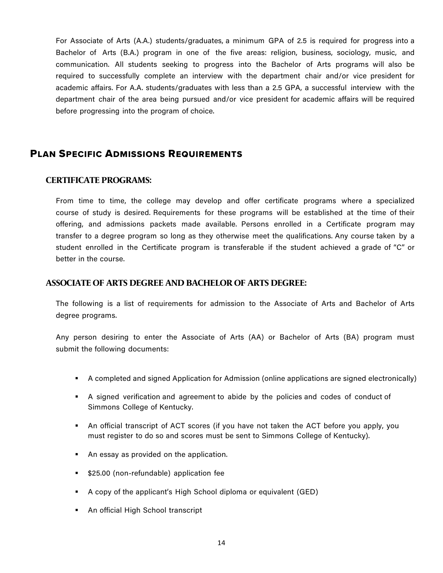For Associate of Arts (A.A.) students/graduates, a minimum GPA of 2.5 is required for progress into a Bachelor of Arts (B.A.) program in one of the five areas: religion, business, sociology, music, and communication. All students seeking to progress into the Bachelor of Arts programs will also be required to successfully complete an interview with the department chair and/or vice president for academic affairs. For A.A. students/graduates with less than a 2.5 GPA, a successful interview with the department chair of the area being pursued and/or vice president for academic affairs will be required before progressing into the program of choice.

# PLAN SPECIFIC ADMISSIONS REQUIREMENTS

#### **CERTIFICATE PROGRAMS:**

From time to time, the college may develop and offer certificate programs where a specialized course of study is desired. Requirements for these programs will be established at the time of their offering, and admissions packets made available. Persons enrolled in a Certificate program may transfer to a degree program so long as they otherwise meet the qualifications. Any course taken by a student enrolled in the Certificate program is transferable if the student achieved a grade of "C" or better in the course.

#### **ASSOCIATE OF ARTS DEGREE AND BACHELOR OF ARTS DEGREE:**

The following is a list of requirements for admission to the Associate of Arts and Bachelor of Arts degree programs.

Any person desiring to enter the Associate of Arts (AA) or Bachelor of Arts (BA) program must submit the following documents:

- § A completed and signed Application for Admission (online applications are signed electronically)
- § A signed verification and agreement to abide by the policies and codes of conduct of Simmons College of Kentucky.
- § An official transcript of ACT scores (if you have not taken the ACT before you apply, you must register to do so and scores must be sent to Simmons College of Kentucky).
- An essay as provided on the application.
- \$25.00 (non-refundable) application fee
- § A copy of the applicant's High School diploma or equivalent (GED)
- An official High School transcript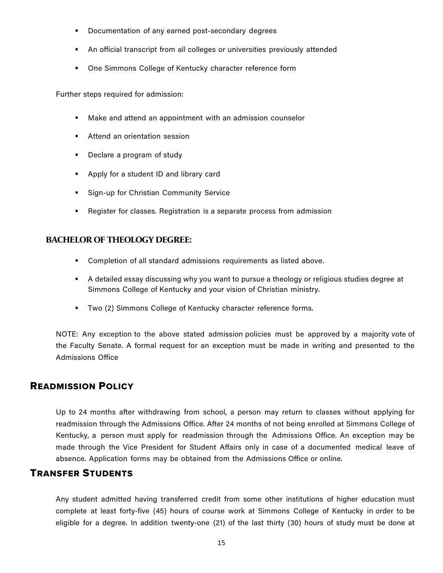- **•** Documentation of any earned post-secondary degrees
- § An official transcript from all colleges or universities previously attended
- One Simmons College of Kentucky character reference form

Further steps required for admission:

- Make and attend an appointment with an admission counselor
- **EXECTE:** Attend an orientation session
- Declare a program of study
- § Apply for a student ID and library card
- Sign-up for Christian Community Service
- Register for classes. Registration is a separate process from admission

#### **BACHELOR OF THEOLOGY DEGREE:**

- Completion of all standard admissions requirements as listed above.
- **•** A detailed essay discussing why you want to pursue a theology or religious studies degree at Simmons College of Kentucky and your vision of Christian ministry.
- Two (2) Simmons College of Kentucky character reference forms.

NOTE: Any exception to the above stated admission policies must be approved by a majority vote of the Faculty Senate. A formal request for an exception must be made in writing and presented to the Admissions Office

### READMISSION POLICY

Up to 24 months after withdrawing from school, a person may return to classes without applying for readmission through the Admissions Office. After 24 months of not being enrolled at Simmons College of Kentucky, a person must apply for readmission through the Admissions Office. An exception may be made through the Vice President for Student Affairs only in case of a documented medical leave of absence. Application forms may be obtained from the Admissions Office or online.

### TRANSFER STUDENTS

Any student admitted having transferred credit from some other institutions of higher education must complete at least forty-five (45) hours of course work at Simmons College of Kentucky in order to be eligible for a degree. In addition twenty-one (21) of the last thirty (30) hours of study must be done at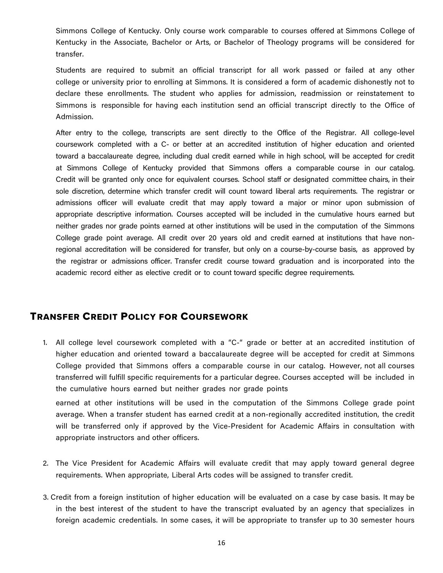Simmons College of Kentucky. Only course work comparable to courses offered at Simmons College of Kentucky in the Associate, Bachelor or Arts, or Bachelor of Theology programs will be considered for transfer.

Students are required to submit an official transcript for all work passed or failed at any other college or university prior to enrolling at Simmons. It is considered a form of academic dishonestly not to declare these enrollments. The student who applies for admission, readmission or reinstatement to Simmons is responsible for having each institution send an official transcript directly to the Office of Admission.

After entry to the college, transcripts are sent directly to the Office of the Registrar. All college-level coursework completed with a C- or better at an accredited institution of higher education and oriented toward a baccalaureate degree, including dual credit earned while in high school, will be accepted for credit at Simmons College of Kentucky provided that Simmons offers a comparable course in our catalog. Credit will be granted only once for equivalent courses. School staff or designated committee chairs, in their sole discretion, determine which transfer credit will count toward liberal arts requirements. The registrar or admissions officer will evaluate credit that may apply toward a major or minor upon submission of appropriate descriptive information. Courses accepted will be included in the cumulative hours earned but neither grades nor grade points earned at other institutions will be used in the computation of the Simmons College grade point average. All credit over 20 years old and credit earned at institutions that have nonregional accreditation will be considered for transfer, but only on a course-by-course basis, as approved by the registrar or admissions officer. Transfer credit course toward graduation and is incorporated into the academic record either as elective credit or to count toward specific degree requirements.

# TRANSFER CREDIT POLICY FOR COURSEWORK

1. All college level coursework completed with a "C-" grade or better at an accredited institution of higher education and oriented toward a baccalaureate degree will be accepted for credit at Simmons College provided that Simmons offers a comparable course in our catalog. However, not all courses transferred will fulfill specific requirements for a particular degree. Courses accepted will be included in the cumulative hours earned but neither grades nor grade points

earned at other institutions will be used in the computation of the Simmons College grade point average. When a transfer student has earned credit at a non-regionally accredited institution, the credit will be transferred only if approved by the Vice-President for Academic Affairs in consultation with appropriate instructors and other officers.

- 2. The Vice President for Academic Affairs will evaluate credit that may apply toward general degree requirements. When appropriate, Liberal Arts codes will be assigned to transfer credit.
- 3. Credit from a foreign institution of higher education will be evaluated on a case by case basis. It may be in the best interest of the student to have the transcript evaluated by an agency that specializes in foreign academic credentials. In some cases, it will be appropriate to transfer up to 30 semester hours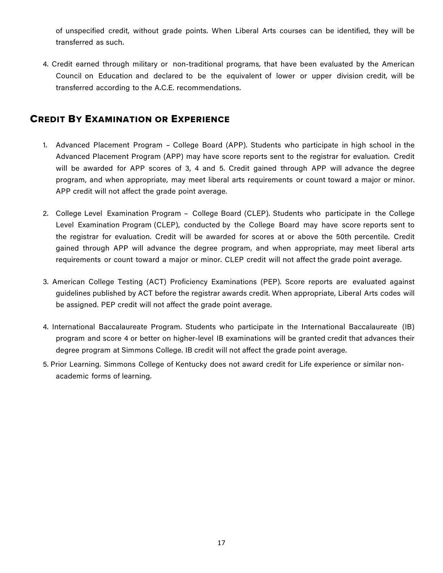of unspecified credit, without grade points. When Liberal Arts courses can be identified, they will be transferred as such.

4. Credit earned through military or non-traditional programs, that have been evaluated by the American Council on Education and declared to be the equivalent of lower or upper division credit, will be transferred according to the A.C.E. recommendations.

# CREDIT BY EXAMINATION OR EXPERIENCE

- 1. Advanced Placement Program College Board (APP). Students who participate in high school in the Advanced Placement Program (APP) may have score reports sent to the registrar for evaluation. Credit will be awarded for APP scores of 3, 4 and 5. Credit gained through APP will advance the degree program, and when appropriate, may meet liberal arts requirements or count toward a major or minor. APP credit will not affect the grade point average.
- 2. College Level Examination Program College Board (CLEP). Students who participate in the College Level Examination Program (CLEP), conducted by the College Board may have score reports sent to the registrar for evaluation. Credit will be awarded for scores at or above the 50th percentile. Credit gained through APP will advance the degree program, and when appropriate, may meet liberal arts requirements or count toward a major or minor. CLEP credit will not affect the grade point average.
- 3. American College Testing (ACT) Proficiency Examinations (PEP). Score reports are evaluated against guidelines published by ACT before the registrar awards credit. When appropriate, Liberal Arts codes will be assigned. PEP credit will not affect the grade point average.
- 4. International Baccalaureate Program. Students who participate in the International Baccalaureate (IB) program and score 4 or better on higher-level IB examinations will be granted credit that advances their degree program at Simmons College. IB credit will not affect the grade point average.
- 5. Prior Learning. Simmons College of Kentucky does not award credit for Life experience or similar nonacademic forms of learning.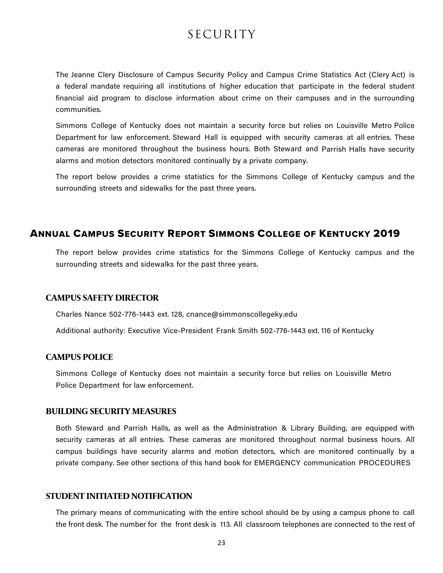# SECURITY

The Jeanne Clery Disclosure of Campus Security Policy and Campus Crime Statistics Act (Clery Act) is a federal mandate requiring all institutions of higher education that participate in the federal student financial aid program to disclose information about crime on their campuses and in the surrounding communities.

Simmons College of Kentucky does not maintain a security force but relies on Louisville Metro Police Department for law enforcement. Steward Hall is equipped with security cameras at all entries. These cameras are monitored throughout the business hours. Both Steward and Parrish Halls have security alarms and motion detectors monitored continually by a private company.

The report below provides a crime statistics for the Simmons College of Kentucky campus and the surrounding streets and sidewalks for the past three years.

# ANNUAL CAMPUS SECURITY REPORT SIMMONS COLLEGE OF KENTUCKY 2019

The report below provides crime statistics for the Simmons College of Kentucky campus and the surrounding streets and sidewalks for the past three years.

#### **CAMPUS SAFETY DIRECTOR**

Charles Nance 502-776-1443 ext. 128, cnance@simmonscollegeky.edu

Additional authority: Executive Vice-President Frank Smith 502-776-1443 ext. 116 of Kentucky

#### **CAMPUS POLICE**

Simmons College of Kentucky does not maintain a security force but relies on Louisville Metro Police Department for law enforcement.

#### **BUILDING SECURITY MEASURES**

Both Steward and Parrish Halls, as well as the Administration & Library Building, are equipped with security cameras at all entries. These cameras are monitored throughout normal business hours. All campus buildings have security alarms and motion detectors, which are monitored continually by a private company. See other sections of this hand book for EMERGENCY communication PROCEDURES

#### **STUDENT INITIATED NOTIFICATION**

The primary means of communicating with the entire school should be by using a campus phone to call the front desk. The number for the front desk is 113. All classroom telephones are connected to the rest of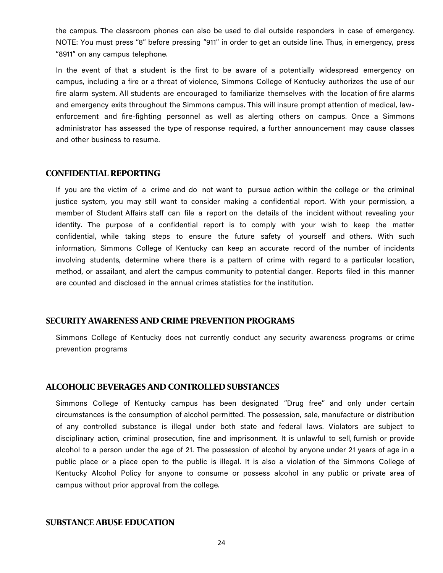the campus. The classroom phones can also be used to dial outside responders in case of emergency. NOTE: You must press "8" before pressing "911" in order to get an outside line. Thus, in emergency, press "8911" on any campus telephone.

In the event of that a student is the first to be aware of a potentially widespread emergency on campus, including a fire or a threat of violence, Simmons College of Kentucky authorizes the use of our fire alarm system. All students are encouraged to familiarize themselves with the location of fire alarms and emergency exits throughout the Simmons campus. This will insure prompt attention of medical, lawenforcement and fire-fighting personnel as well as alerting others on campus. Once a Simmons administrator has assessed the type of response required, a further announcement may cause classes and other business to resume.

#### **CONFIDENTIAL REPORTING**

If you are the victim of a crime and do not want to pursue action within the college or the criminal justice system, you may still want to consider making a confidential report. With your permission, a member of Student Affairs staff can file a report on the details of the incident without revealing your identity. The purpose of a confidential report is to comply with your wish to keep the matter confidential, while taking steps to ensure the future safety of yourself and others. With such information, Simmons College of Kentucky can keep an accurate record of the number of incidents involving students, determine where there is a pattern of crime with regard to a particular location, method, or assailant, and alert the campus community to potential danger. Reports filed in this manner are counted and disclosed in the annual crimes statistics for the institution.

#### **SECURITY AWARENESS AND CRIME PREVENTION PROGRAMS**

Simmons College of Kentucky does not currently conduct any security awareness programs or crime prevention programs

#### **ALCOHOLIC BEVERAGES AND CONTROLLED SUBSTANCES**

Simmons College of Kentucky campus has been designated "Drug free" and only under certain circumstances is the consumption of alcohol permitted. The possession, sale, manufacture or distribution of any controlled substance is illegal under both state and federal laws. Violators are subject to disciplinary action, criminal prosecution, fine and imprisonment. It is unlawful to sell, furnish or provide alcohol to a person under the age of 21. The possession of alcohol by anyone under 21 years of age in a public place or a place open to the public is illegal. It is also a violation of the Simmons College of Kentucky Alcohol Policy for anyone to consume or possess alcohol in any public or private area of campus without prior approval from the college.

#### **SUBSTANCE ABUSE EDUCATION**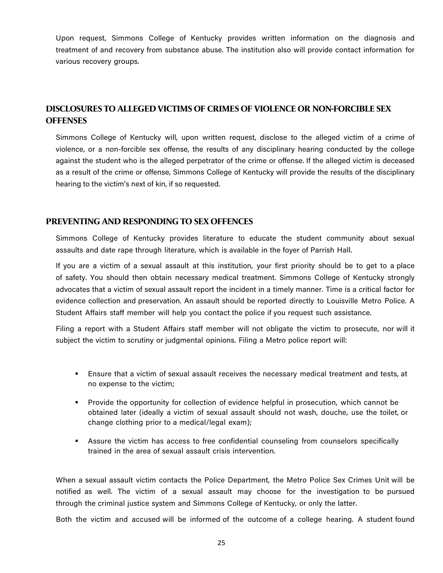Upon request, Simmons College of Kentucky provides written information on the diagnosis and treatment of and recovery from substance abuse. The institution also will provide contact information for various recovery groups.

# **DISCLOSURES TO ALLEGED VICTIMS OF CRIMES OF VIOLENCE OR NON-FORCIBLE SEX OFFENSES**

Simmons College of Kentucky will, upon written request, disclose to the alleged victim of a crime of violence, or a non-forcible sex offense, the results of any disciplinary hearing conducted by the college against the student who is the alleged perpetrator of the crime or offense. If the alleged victim is deceased as a result of the crime or offense, Simmons College of Kentucky will provide the results of the disciplinary hearing to the victim's next of kin, if so requested.

#### **PREVENTING AND RESPONDING TO SEX OFFENCES**

Simmons College of Kentucky provides literature to educate the student community about sexual assaults and date rape through literature, which is available in the foyer of Parrish Hall.

If you are a victim of a sexual assault at this institution, your first priority should be to get to a place of safety. You should then obtain necessary medical treatment. Simmons College of Kentucky strongly advocates that a victim of sexual assault report the incident in a timely manner. Time is a critical factor for evidence collection and preservation. An assault should be reported directly to Louisville Metro Police. A Student Affairs staff member will help you contact the police if you request such assistance.

Filing a report with a Student Affairs staff member will not obligate the victim to prosecute, nor will it subject the victim to scrutiny or judgmental opinions. Filing a Metro police report will:

- **Ensure that a victim of sexual assault receives the necessary medical treatment and tests, at I** no expense to the victim;
- Provide the opportunity for collection of evidence helpful in prosecution, which cannot be obtained later (ideally a victim of sexual assault should not wash, douche, use the toilet, or change clothing prior to a medical/legal exam);
- **•** Assure the victim has access to free confidential counseling from counselors specifically trained in the area of sexual assault crisis intervention.

When a sexual assault victim contacts the Police Department, the Metro Police Sex Crimes Unit will be notified as well. The victim of a sexual assault may choose for the investigation to be pursued through the criminal justice system and Simmons College of Kentucky, or only the latter.

Both the victim and accused will be informed of the outcome of a college hearing. A student found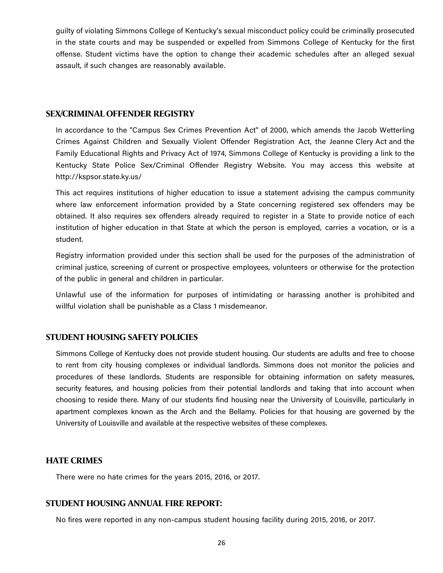guilty of violating Simmons College of Kentucky's sexual misconduct policy could be criminally prosecuted in the state courts and may be suspended or expelled from Simmons College of Kentucky for the first offense. Student victims have the option to change their academic schedules after an alleged sexual assault, if such changes are reasonably available.

#### **SEX/CRIMINAL OFFENDER REGISTRY**

In accordance to the "Campus Sex Crimes Prevention Act" of 2000, which amends the Jacob Wetterling Crimes Against Children and Sexually Violent Offender Registration Act, the Jeanne Clery Act and the Family Educational Rights and Privacy Act of 1974, Simmons College of Kentucky is providing a link to the Kentucky State Police Sex/Criminal Offender Registry Website. You may access this website at http://kspsor.state.ky.us/

This act requires institutions of higher education to issue a statement advising the campus community where law enforcement information provided by a State concerning registered sex offenders may be obtained. It also requires sex offenders already required to register in a State to provide notice of each institution of higher education in that State at which the person is employed, carries a vocation, or is a student.

Registry information provided under this section shall be used for the purposes of the administration of criminal justice, screening of current or prospective employees, volunteers or otherwise for the protection of the public in general and children in particular.

Unlawful use of the information for purposes of intimidating or harassing another is prohibited and willful violation shall be punishable as a Class 1 misdemeanor.

#### **STUDENT HOUSING SAFETY POLICIES**

Simmons College of Kentucky does not provide student housing. Our students are adults and free to choose to rent from city housing complexes or individual landlords. Simmons does not monitor the policies and procedures of these landlords. Students are responsible for obtaining information on safety measures, security features, and housing policies from their potential landlords and taking that into account when choosing to reside there. Many of our students find housing near the University of Louisville, particularly in apartment complexes known as the Arch and the Bellamy. Policies for that housing are governed by the University of Louisville and available at the respective websites of these complexes.

#### **HATE CRIMES**

There were no hate crimes for the years 2015, 2016, or 2017.

#### **STUDENT HOUSING ANNUAL FIRE REPORT:**

No fires were reported in any non-campus student housing facility during 2015, 2016, or 2017.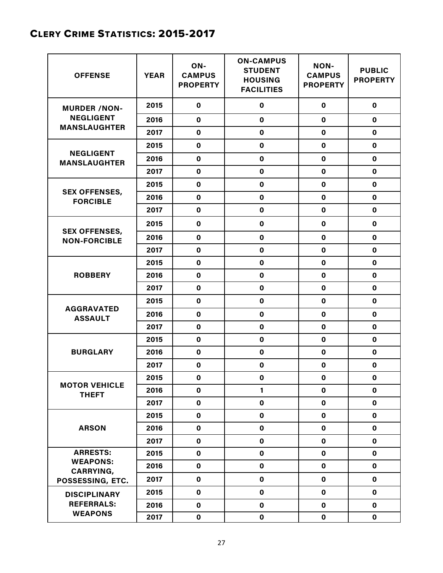# CLERY CRIME STATISTICS: 2015-2017

| <b>OFFENSE</b>                                          | <b>YEAR</b> | ON-<br><b>CAMPUS</b><br><b>PROPERTY</b> | <b>ON-CAMPUS</b><br><b>STUDENT</b><br><b>HOUSING</b><br><b>FACILITIES</b> | <b>NON-</b><br><b>CAMPUS</b><br><b>PROPERTY</b> | <b>PUBLIC</b><br><b>PROPERTY</b> |
|---------------------------------------------------------|-------------|-----------------------------------------|---------------------------------------------------------------------------|-------------------------------------------------|----------------------------------|
| <b>MURDER /NON-</b>                                     | 2015        | $\pmb{0}$                               | $\mathbf 0$                                                               | $\mathbf 0$                                     | $\mathbf 0$                      |
| <b>NEGLIGENT</b>                                        | 2016        | $\mathbf 0$                             | 0                                                                         | $\mathbf 0$                                     | $\mathbf 0$                      |
| <b>MANSLAUGHTER</b>                                     | 2017        | $\mathbf 0$                             | $\mathbf 0$                                                               | $\mathbf 0$                                     | $\mathbf 0$                      |
|                                                         | 2015        | $\pmb{0}$                               | $\mathbf 0$                                                               | $\mathbf 0$                                     | $\mathbf 0$                      |
| <b>NEGLIGENT</b><br><b>MANSLAUGHTER</b>                 | 2016        | $\mathbf 0$                             | $\mathbf 0$                                                               | $\mathbf 0$                                     | $\mathbf 0$                      |
|                                                         | 2017        | $\pmb{0}$                               | $\mathbf 0$                                                               | $\pmb{0}$                                       | $\mathbf 0$                      |
|                                                         | 2015        | $\pmb{0}$                               | $\mathbf 0$                                                               | $\mathbf 0$                                     | $\mathbf 0$                      |
| <b>SEX OFFENSES,</b><br><b>FORCIBLE</b>                 | 2016        | $\pmb{0}$                               | $\mathbf 0$                                                               | $\mathbf 0$                                     | $\mathbf 0$                      |
|                                                         | 2017        | $\mathbf 0$                             | $\mathbf 0$                                                               | $\mathbf 0$                                     | $\mathbf 0$                      |
|                                                         | 2015        | $\pmb{0}$                               | $\mathbf 0$                                                               | $\mathbf 0$                                     | $\mathbf 0$                      |
| <b>SEX OFFENSES,</b><br><b>NON-FORCIBLE</b>             | 2016        | $\mathbf 0$                             | $\mathbf 0$                                                               | $\mathbf 0$                                     | $\mathbf 0$                      |
|                                                         | 2017        | $\pmb{0}$                               | $\pmb{0}$                                                                 | $\pmb{0}$                                       | $\mathbf 0$                      |
|                                                         | 2015        | $\pmb{0}$                               | $\mathbf 0$                                                               | $\pmb{0}$                                       | $\mathbf 0$                      |
| <b>ROBBERY</b>                                          | 2016        | $\pmb{0}$                               | $\mathbf 0$                                                               | $\mathbf 0$                                     | $\mathbf 0$                      |
|                                                         | 2017        | $\mathbf 0$                             | $\mathbf 0$                                                               | $\mathbf 0$                                     | $\mathbf 0$                      |
|                                                         | 2015        | $\mathbf 0$                             | $\mathbf 0$                                                               | $\mathbf 0$                                     | $\mathbf 0$                      |
| <b>AGGRAVATED</b><br><b>ASSAULT</b>                     | 2016        | $\mathbf 0$                             | $\mathbf 0$                                                               | $\mathbf 0$                                     | $\mathbf 0$                      |
|                                                         | 2017        | $\mathbf 0$                             | $\mathbf 0$                                                               | $\mathbf 0$                                     | $\mathbf 0$                      |
|                                                         | 2015        | $\mathbf 0$                             | $\mathbf 0$                                                               | $\mathbf 0$                                     | $\mathbf 0$                      |
| <b>BURGLARY</b>                                         | 2016        | $\mathbf 0$                             | $\mathbf 0$                                                               | $\mathbf 0$                                     | $\mathbf 0$                      |
|                                                         | 2017        | $\pmb{0}$                               | $\mathbf 0$                                                               | $\mathbf 0$                                     | $\mathbf 0$                      |
|                                                         | 2015        | $\pmb{0}$                               | $\pmb{0}$                                                                 | $\pmb{0}$                                       | $\pmb{0}$                        |
| <b>MOTOR VEHICLE</b><br><b>THEFT</b>                    | 2016        | $\mathbf 0$                             | 1                                                                         | $\mathbf 0$                                     | $\mathbf 0$                      |
|                                                         | 2017        | $\pmb{0}$                               | $\mathbf 0$                                                               | $\mathbf 0$                                     | $\mathbf 0$                      |
| <b>ARSON</b>                                            | 2015        | $\mathbf 0$                             | $\mathbf 0$                                                               | $\mathbf 0$                                     | $\mathbf 0$                      |
|                                                         | 2016        | $\pmb{0}$                               | $\mathbf 0$                                                               | $\mathbf 0$                                     | $\mathbf 0$                      |
|                                                         | 2017        | $\pmb{0}$                               | $\mathbf 0$                                                               | $\mathbf 0$                                     | $\mathbf 0$                      |
| <b>ARRESTS:</b>                                         | 2015        | $\pmb{0}$                               | $\mathbf 0$                                                               | $\mathbf 0$                                     | $\mathbf 0$                      |
| <b>WEAPONS:</b><br><b>CARRYING,</b><br>POSSESSING, ETC. | 2016        | $\pmb{0}$                               | $\mathbf 0$                                                               | $\mathbf 0$                                     | $\mathbf 0$                      |
|                                                         | 2017        | $\pmb{0}$                               | $\mathbf 0$                                                               | $\mathbf 0$                                     | $\mathbf 0$                      |
| <b>DISCIPLINARY</b>                                     | 2015        | $\mathbf 0$                             | $\mathbf 0$                                                               | $\mathbf 0$                                     | $\mathbf 0$                      |
| <b>REFERRALS:</b>                                       | 2016        | $\pmb{0}$                               | $\mathbf 0$                                                               | $\mathbf 0$                                     | $\mathbf 0$                      |
| <b>WEAPONS</b>                                          | 2017        | $\mathbf 0$                             | $\mathbf 0$                                                               | $\mathbf 0$                                     | $\mathbf 0$                      |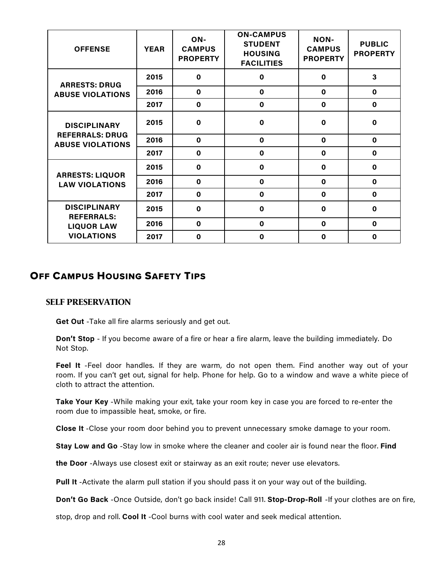| <b>OFFENSE</b>                                                                     | <b>YEAR</b> | ON-<br><b>CAMPUS</b><br><b>PROPERTY</b> | <b>ON-CAMPUS</b><br><b>STUDENT</b><br><b>HOUSING</b><br><b>FACILITIES</b> | <b>NON-</b><br><b>CAMPUS</b><br><b>PROPERTY</b> | <b>PUBLIC</b><br><b>PROPERTY</b> |
|------------------------------------------------------------------------------------|-------------|-----------------------------------------|---------------------------------------------------------------------------|-------------------------------------------------|----------------------------------|
| <b>ARRESTS: DRUG</b><br><b>ABUSE VIOLATIONS</b>                                    | 2015        | 0                                       | $\mathbf 0$                                                               | $\mathbf 0$                                     | $\overline{\mathbf{3}}$          |
|                                                                                    | 2016        | $\mathbf 0$                             | $\mathbf 0$                                                               | $\mathbf 0$                                     | $\mathbf{0}$                     |
|                                                                                    | 2017        | $\mathbf 0$                             | $\mathbf 0$                                                               | $\mathbf 0$                                     | $\mathbf 0$                      |
| <b>DISCIPLINARY</b><br><b>REFERRALS: DRUG</b><br><b>ABUSE VIOLATIONS</b>           | 2015        | $\mathbf 0$                             | $\mathbf 0$                                                               | $\bf{0}$                                        | 0                                |
|                                                                                    | 2016        | $\mathbf 0$                             | $\mathbf 0$                                                               | $\mathbf 0$                                     | $\mathbf 0$                      |
|                                                                                    | 2017        | $\mathbf 0$                             | $\mathbf 0$                                                               | $\mathbf 0$                                     | $\mathbf 0$                      |
| <b>ARRESTS: LIQUOR</b><br><b>LAW VIOLATIONS</b>                                    | 2015        | $\mathbf 0$                             | $\mathbf 0$                                                               | $\mathbf 0$                                     | $\mathbf 0$                      |
|                                                                                    | 2016        | $\mathbf 0$                             | $\mathbf 0$                                                               | $\mathbf 0$                                     | $\mathbf 0$                      |
|                                                                                    | 2017        | $\mathbf 0$                             | $\mathbf 0$                                                               | $\mathbf 0$                                     | $\mathbf 0$                      |
| <b>DISCIPLINARY</b><br><b>REFERRALS:</b><br><b>LIQUOR LAW</b><br><b>VIOLATIONS</b> | 2015        | $\mathbf 0$                             | $\mathbf 0$                                                               | $\mathbf 0$                                     | $\mathbf 0$                      |
|                                                                                    | 2016        | $\mathbf 0$                             | $\mathbf 0$                                                               | $\mathbf 0$                                     | $\mathbf 0$                      |
|                                                                                    | 2017        | $\mathbf 0$                             | $\mathbf 0$                                                               | $\mathbf 0$                                     | $\mathbf 0$                      |

# OFF CAMPUS HOUSING SAFETY TIPS

#### **SELF PRESERVATION**

**Get Out** -Take all fire alarms seriously and get out.

**Don't Stop** - If you become aware of a fire or hear a fire alarm, leave the building immediately. Do Not Stop.

**Feel It** -Feel door handles. If they are warm, do not open them. Find another way out of your room. If you can't get out, signal for help. Phone for help. Go to a window and wave a white piece of cloth to attract the attention.

**Take Your Key** -While making your exit, take your room key in case you are forced to re-enter the room due to impassible heat, smoke, or fire.

**Close It** -Close your room door behind you to prevent unnecessary smoke damage to your room.

**Stay Low and Go** -Stay low in smoke where the cleaner and cooler air is found near the floor. **Find**

**the Door** -Always use closest exit or stairway as an exit route; never use elevators.

**Pull It** -Activate the alarm pull station if you should pass it on your way out of the building.

**Don't Go Back** -Once Outside, don't go back inside! Call 911. **Stop-Drop-Roll** -If your clothes are on fire,

stop, drop and roll. **Cool It** -Cool burns with cool water and seek medical attention.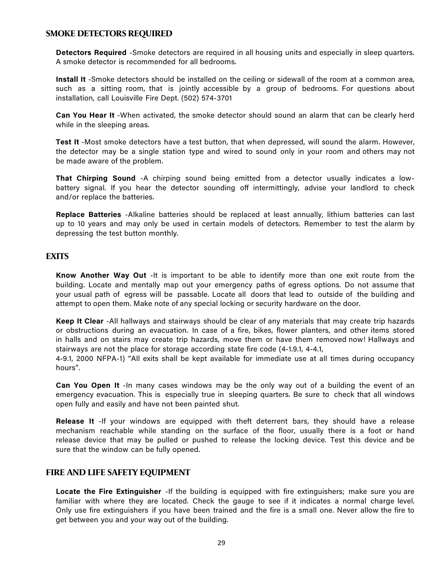#### **SMOKE DETECTORS REQUIRED**

**Detectors Required** -Smoke detectors are required in all housing units and especially in sleep quarters. A smoke detector is recommended for all bedrooms.

**Install It** -Smoke detectors should be installed on the ceiling or sidewall of the room at a common area, such as a sitting room, that is jointly accessible by a group of bedrooms. For questions about installation, call Louisville Fire Dept. (502) 574-3701

**Can You Hear It** -When activated, the smoke detector should sound an alarm that can be clearly herd while in the sleeping areas.

**Test It** -Most smoke detectors have a test button, that when depressed, will sound the alarm. However, the detector may be a single station type and wired to sound only in your room and others may not be made aware of the problem.

**That Chirping Sound** -A chirping sound being emitted from a detector usually indicates a lowbattery signal. If you hear the detector sounding off intermittingly, advise your landlord to check and/or replace the batteries.

**Replace Batteries** -Alkaline batteries should be replaced at least annually, lithium batteries can last up to 10 years and may only be used in certain models of detectors. Remember to test the alarm by depressing the test button monthly.

#### **EXITS**

**Know Another Way Out** -It is important to be able to identify more than one exit route from the building. Locate and mentally map out your emergency paths of egress options. Do not assume that your usual path of egress will be passable. Locate all doors that lead to outside of the building and attempt to open them. Make note of any special locking or security hardware on the door.

**Keep It Clear** -All hallways and stairways should be clear of any materials that may create trip hazards or obstructions during an evacuation. In case of a fire, bikes, flower planters, and other items stored in halls and on stairs may create trip hazards, move them or have them removed now! Hallways and stairways are not the place for storage according state fire code (4-1.9.1, 4-4.1,

4-9.1, 2000 NFPA-1) "All exits shall be kept available for immediate use at all times during occupancy hours".

**Can You Open It** -In many cases windows may be the only way out of a building the event of an emergency evacuation. This is especially true in sleeping quarters. Be sure to check that all windows open fully and easily and have not been painted shut.

**Release It** -If your windows are equipped with theft deterrent bars, they should have a release mechanism reachable while standing on the surface of the floor, usually there is a foot or hand release device that may be pulled or pushed to release the locking device. Test this device and be sure that the window can be fully opened.

#### **FIRE AND LIFE SAFETY EQUIPMENT**

**Locate the Fire Extinguisher** -If the building is equipped with fire extinguishers; make sure you are familiar with where they are located. Check the gauge to see if it indicates a normal charge level. Only use fire extinguishers if you have been trained and the fire is a small one. Never allow the fire to get between you and your way out of the building.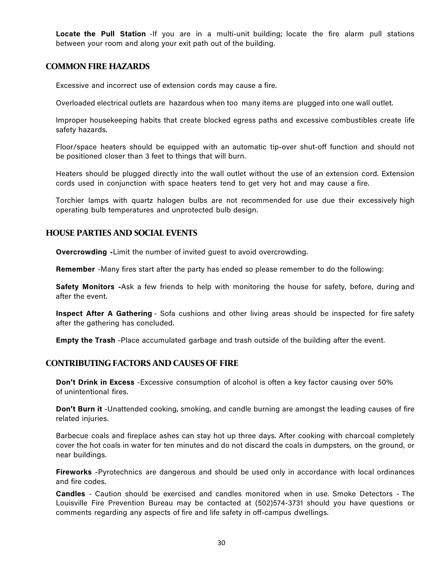**Locate the Pull Station** -If you are in a multi-unit building; locate the fire alarm pull stations between your room and along your exit path out of the building.

#### **COMMON FIRE HAZARDS**

Excessive and incorrect use of extension cords may cause a fire.

Overloaded electrical outlets are hazardous when too many items are plugged into one wall outlet.

Improper housekeeping habits that create blocked egress paths and excessive combustibles create life safety hazards.

Floor/space heaters should be equipped with an automatic tip-over shut-off function and should not be positioned closer than 3 feet to things that will burn.

Heaters should be plugged directly into the wall outlet without the use of an extension cord. Extension cords used in conjunction with space heaters tend to get very hot and may cause a fire.

Torchier lamps with quartz halogen bulbs are not recommended for use due their excessively high operating bulb temperatures and unprotected bulb design.

#### **HOUSE PARTIES AND SOCIAL EVENTS**

**Overcrowding -**Limit the number of invited guest to avoid overcrowding.

**Remember** -Many fires start after the party has ended so please remember to do the following:

**Safety Monitors -**Ask a few friends to help with monitoring the house for safety, before, during and after the event.

**Inspect After A Gathering** - Sofa cushions and other living areas should be inspected for fire safety after the gathering has concluded.

**Empty the Trash** -Place accumulated garbage and trash outside of the building after the event.

#### **CONTRIBUTING FACTORS AND CAUSES OF FIRE**

**Don't Drink in Excess** -Excessive consumption of alcohol is often a key factor causing over 50% of unintentional fires.

**Don't Burn it** -Unattended cooking, smoking, and candle burning are amongst the leading causes of fire related injuries.

Barbecue coals and fireplace ashes can stay hot up three days. After cooking with charcoal completely cover the hot coals in water for ten minutes and do not discard the coals in dumpsters, on the ground, or near buildings.

**Fireworks** -Pyrotechnics are dangerous and should be used only in accordance with local ordinances and fire codes.

**Candles** - Caution should be exercised and candles monitored when in use. Smoke Detectors - The Louisville Fire Prevention Bureau may be contacted at (502)574-3731 should you have questions or comments regarding any aspects of fire and life safety in off-campus dwellings.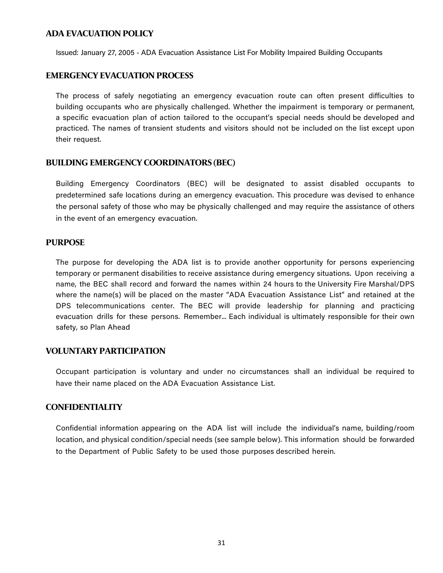#### **ADA EVACUATION POLICY**

Issued: January 27, 2005 - ADA Evacuation Assistance List For Mobility Impaired Building Occupants

#### **EMERGENCY EVACUATION PROCESS**

The process of safely negotiating an emergency evacuation route can often present difficulties to building occupants who are physically challenged. Whether the impairment is temporary or permanent, a specific evacuation plan of action tailored to the occupant's special needs should be developed and practiced. The names of transient students and visitors should not be included on the list except upon their request.

#### **BUILDING EMERGENCY COORDINATORS (BEC)**

Building Emergency Coordinators (BEC) will be designated to assist disabled occupants to predetermined safe locations during an emergency evacuation. This procedure was devised to enhance the personal safety of those who may be physically challenged and may require the assistance of others in the event of an emergency evacuation.

#### **PURPOSE**

The purpose for developing the ADA list is to provide another opportunity for persons experiencing temporary or permanent disabilities to receive assistance during emergency situations. Upon receiving a name, the BEC shall record and forward the names within 24 hours to the University Fire Marshal/DPS where the name(s) will be placed on the master "ADA Evacuation Assistance List" and retained at the DPS telecommunications center. The BEC will provide leadership for planning and practicing evacuation drills for these persons. Remember... Each individual is ultimately responsible for their own safety, so Plan Ahead

#### **VOLUNTARYPARTICIPATION**

Occupant participation is voluntary and under no circumstances shall an individual be required to have their name placed on the ADA Evacuation Assistance List.

#### **CONFIDENTIALITY**

Confidential information appearing on the ADA list will include the individual's name, building/room location, and physical condition/special needs (see sample below). This information should be forwarded to the Department of Public Safety to be used those purposes described herein.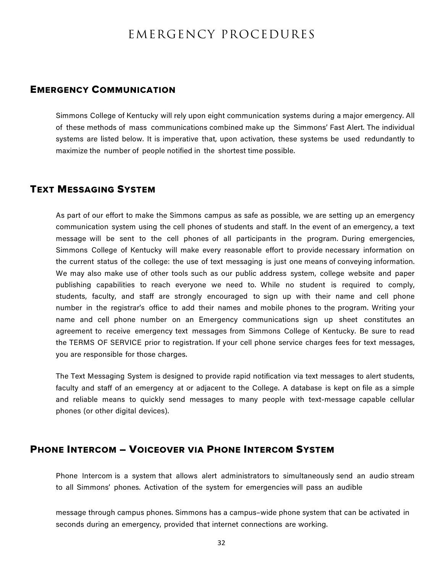# EMERGENCY PROCEDURES

#### EMERGENCY COMMUNICATION

Simmons College of Kentucky will rely upon eight communication systems during a major emergency. All of these methods of mass communications combined make up the Simmons' Fast Alert. The individual systems are listed below. It is imperative that, upon activation, these systems be used redundantly to maximize the number of people notified in the shortest time possible.

#### TEXT MESSAGING SYSTEM

As part of our effort to make the Simmons campus as safe as possible, we are setting up an emergency communication system using the cell phones of students and staff. In the event of an emergency, a text message will be sent to the cell phones of all participants in the program. During emergencies, Simmons College of Kentucky will make every reasonable effort to provide necessary information on the current status of the college: the use of text messaging is just one means of conveying information. We may also make use of other tools such as our public address system, college website and paper publishing capabilities to reach everyone we need to. While no student is required to comply, students, faculty, and staff are strongly encouraged to sign up with their name and cell phone number in the registrar's office to add their names and mobile phones to the program. Writing your name and cell phone number on an Emergency communications sign up sheet constitutes an agreement to receive emergency text messages from Simmons College of Kentucky. Be sure to read the TERMS OF SERVICE prior to registration. If your cell phone service charges fees for text messages, you are responsible for those charges.

The Text Messaging System is designed to provide rapid notification via text messages to alert students, faculty and staff of an emergency at or adjacent to the College. A database is kept on file as a simple and reliable means to quickly send messages to many people with text-message capable cellular phones (or other digital devices).

### PHONE INTERCOM – VOICEOVER VIA PHONE INTERCOM SYSTEM

Phone Intercom is a system that allows alert administrators to simultaneously send an audio stream to all Simmons' phones. Activation of the system for emergencies will pass an audible

message through campus phones. Simmons has a campus–wide phone system that can be activated in seconds during an emergency, provided that internet connections are working.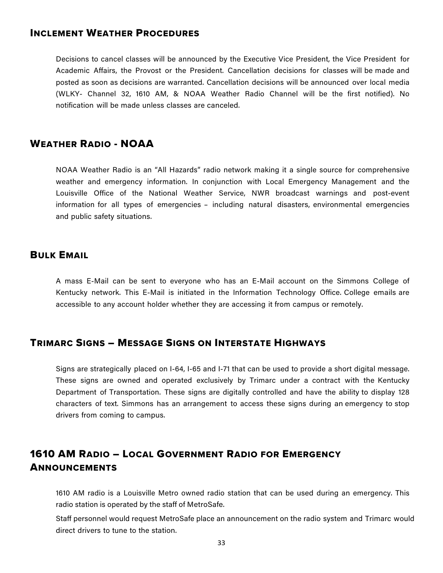# INCLEMENT WEATHER PROCEDURES

Decisions to cancel classes will be announced by the Executive Vice President, the Vice President for Academic Affairs, the Provost or the President. Cancellation decisions for classes will be made and posted as soon as decisions are warranted. Cancellation decisions will be announced over local media (WLKY- Channel 32, 1610 AM, & NOAA Weather Radio Channel will be the first notified). No notification will be made unless classes are canceled.

# WEATHER RADIO - NOAA

NOAA Weather Radio is an "All Hazards" radio network making it a single source for comprehensive weather and emergency information. In conjunction with Local Emergency Management and the Louisville Office of the National Weather Service, NWR broadcast warnings and post-event information for all types of emergencies – including natural disasters, environmental emergencies and public safety situations.

### BULK EMAIL

A mass E-Mail can be sent to everyone who has an E-Mail account on the Simmons College of Kentucky network. This E-Mail is initiated in the Information Technology Office. College emails are accessible to any account holder whether they are accessing it from campus or remotely.

# TRIMARC SIGNS – MESSAGE SIGNS ON INTERSTATE HIGHWAYS

Signs are strategically placed on I-64, I-65 and I-71 that can be used to provide a short digital message. These signs are owned and operated exclusively by Trimarc under a contract with the Kentucky Department of Transportation. These signs are digitally controlled and have the ability to display 128 characters of text. Simmons has an arrangement to access these signs during an emergency to stop drivers from coming to campus.

# 1610 AM RADIO – LOCAL GOVERNMENT RADIO FOR EMERGENCY **ANNOUNCEMENTS**

1610 AM radio is a Louisville Metro owned radio station that can be used during an emergency. This radio station is operated by the staff of MetroSafe.

Staff personnel would request MetroSafe place an announcement on the radio system and Trimarc would direct drivers to tune to the station.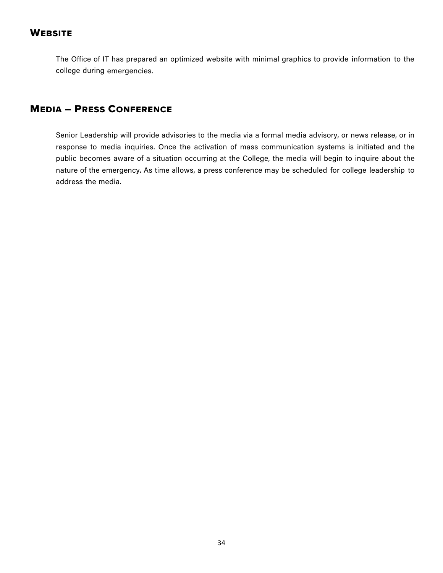# **WEBSITE**

The Office of IT has prepared an optimized website with minimal graphics to provide information to the college during emergencies.

# MEDIA – PRESS CONFERENCE

Senior Leadership will provide advisories to the media via a formal media advisory, or news release, or in response to media inquiries. Once the activation of mass communication systems is initiated and the public becomes aware of a situation occurring at the College, the media will begin to inquire about the nature of the emergency. As time allows, a press conference may be scheduled for college leadership to address the media.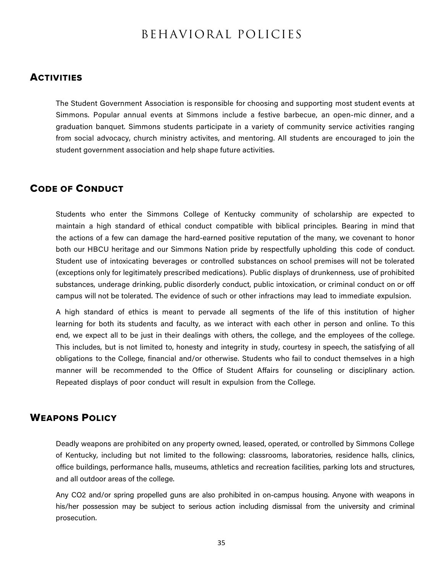# BEHAVIORAL POLICIES

#### **ACTIVITIES**

The Student Government Association is responsible for choosing and supporting most student events at Simmons. Popular annual events at Simmons include a festive barbecue, an open-mic dinner, and a graduation banquet. Simmons students participate in a variety of community service activities ranging from social advocacy, church ministry activites, and mentoring. All students are encouraged to join the student government association and help shape future activities.

# CODE OF CONDUCT

Students who enter the Simmons College of Kentucky community of scholarship are expected to maintain a high standard of ethical conduct compatible with biblical principles. Bearing in mind that the actions of a few can damage the hard-earned positive reputation of the many, we covenant to honor both our HBCU heritage and our Simmons Nation pride by respectfully upholding this code of conduct. Student use of intoxicating beverages or controlled substances on school premises will not be tolerated (exceptions only for legitimately prescribed medications). Public displays of drunkenness, use of prohibited substances, underage drinking, public disorderly conduct, public intoxication, or criminal conduct on or off campus will not be tolerated. The evidence of such or other infractions may lead to immediate expulsion.

A high standard of ethics is meant to pervade all segments of the life of this institution of higher learning for both its students and faculty, as we interact with each other in person and online. To this end, we expect all to be just in their dealings with others, the college, and the employees of the college. This includes, but is not limited to, honesty and integrity in study, courtesy in speech, the satisfying of all obligations to the College, financial and/or otherwise. Students who fail to conduct themselves in a high manner will be recommended to the Office of Student Affairs for counseling or disciplinary action. Repeated displays of poor conduct will result in expulsion from the College.

### WEAPONS POLICY

Deadly weapons are prohibited on any property owned, leased, operated, or controlled by Simmons College of Kentucky, including but not limited to the following: classrooms, laboratories, residence halls, clinics, office buildings, performance halls, museums, athletics and recreation facilities, parking lots and structures, and all outdoor areas of the college.

Any CO2 and/or spring propelled guns are also prohibited in on-campus housing. Anyone with weapons in his/her possession may be subject to serious action including dismissal from the university and criminal prosecution.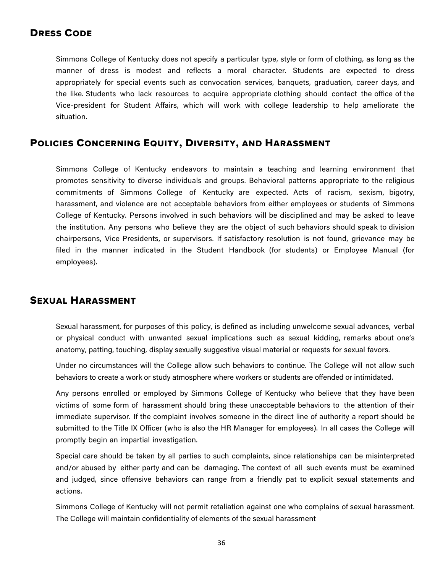# DRESS CODE

Simmons College of Kentucky does not specify a particular type, style or form of clothing, as long as the manner of dress is modest and reflects a moral character. Students are expected to dress appropriately for special events such as convocation services, banquets, graduation, career days, and the like. Students who lack resources to acquire appropriate clothing should contact the office of the Vice-president for Student Affairs, which will work with college leadership to help ameliorate the situation.

# POLICIES CONCERNING EQUITY, DIVERSITY, AND HARASSMENT

Simmons College of Kentucky endeavors to maintain a teaching and learning environment that promotes sensitivity to diverse individuals and groups. Behavioral patterns appropriate to the religious commitments of Simmons College of Kentucky are expected. Acts of racism, sexism, bigotry, harassment, and violence are not acceptable behaviors from either employees or students of Simmons College of Kentucky. Persons involved in such behaviors will be disciplined and may be asked to leave the institution. Any persons who believe they are the object of such behaviors should speak to division chairpersons, Vice Presidents, or supervisors. If satisfactory resolution is not found, grievance may be filed in the manner indicated in the Student Handbook (for students) or Employee Manual (for employees).

# SEXUAL HARASSMENT

Sexual harassment, for purposes of this policy, is defined as including unwelcome sexual advances, verbal or physical conduct with unwanted sexual implications such as sexual kidding, remarks about one's anatomy, patting, touching, display sexually suggestive visual material or requests for sexual favors.

Under no circumstances will the College allow such behaviors to continue. The College will not allow such behaviors to create a work or study atmosphere where workers or students are offended or intimidated.

Any persons enrolled or employed by Simmons College of Kentucky who believe that they have been victims of some form of harassment should bring these unacceptable behaviors to the attention of their immediate supervisor. If the complaint involves someone in the direct line of authority a report should be submitted to the Title IX Officer (who is also the HR Manager for employees). In all cases the College will promptly begin an impartial investigation.

Special care should be taken by all parties to such complaints, since relationships can be misinterpreted and/or abused by either party and can be damaging. The context of all such events must be examined and judged, since offensive behaviors can range from a friendly pat to explicit sexual statements and actions.

Simmons College of Kentucky will not permit retaliation against one who complains of sexual harassment. The College will maintain confidentiality of elements of the sexual harassment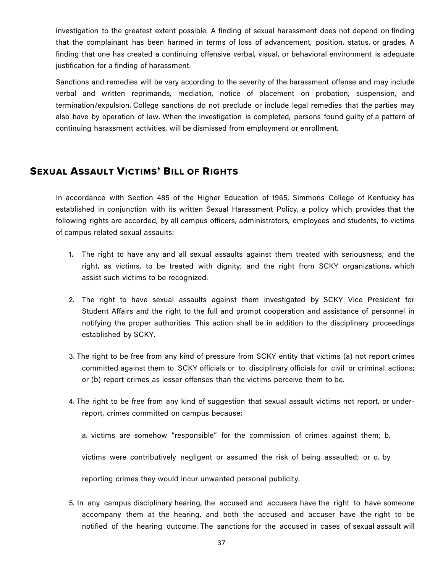investigation to the greatest extent possible. A finding of sexual harassment does not depend on finding that the complainant has been harmed in terms of loss of advancement, position, status, or grades. A finding that one has created a continuing offensive verbal, visual, or behavioral environment is adequate justification for a finding of harassment.

Sanctions and remedies will be vary according to the severity of the harassment offense and may include verbal and written reprimands, mediation, notice of placement on probation, suspension, and termination/expulsion. College sanctions do not preclude or include legal remedies that the parties may also have by operation of law. When the investigation is completed, persons found guilty of a pattern of continuing harassment activities, will be dismissed from employment or enrollment.

### SEXUAL ASSAULT VICTIMS' BILL OF RIGHTS

In accordance with Section 485 of the Higher Education of 1965, Simmons College of Kentucky has established in conjunction with its written Sexual Harassment Policy, a policy which provides that the following rights are accorded, by all campus officers, administrators, employees and students, to victims of campus related sexual assaults:

- 1. The right to have any and all sexual assaults against them treated with seriousness; and the right, as victims, to be treated with dignity; and the right from SCKY organizations, which assist such victims to be recognized.
- 2. The right to have sexual assaults against them investigated by SCKY Vice President for Student Affairs and the right to the full and prompt cooperation and assistance of personnel in notifying the proper authorities. This action shall be in addition to the disciplinary proceedings established by SCKY.
- 3. The right to be free from any kind of pressure from SCKY entity that victims (a) not report crimes committed against them to SCKY officials or to disciplinary officials for civil or criminal actions; or (b) report crimes as lesser offenses than the victims perceive them to be.
- 4. The right to be free from any kind of suggestion that sexual assault victims not report, or underreport, crimes committed on campus because:
	- a. victims are somehow "responsible" for the commission of crimes against them; b.

victims were contributively negligent or assumed the risk of being assaulted; or c. by

reporting crimes they would incur unwanted personal publicity.

5. In any campus disciplinary hearing, the accused and accusers have the right to have someone accompany them at the hearing, and both the accused and accuser have the right to be notified of the hearing outcome. The sanctions for the accused in cases of sexual assault will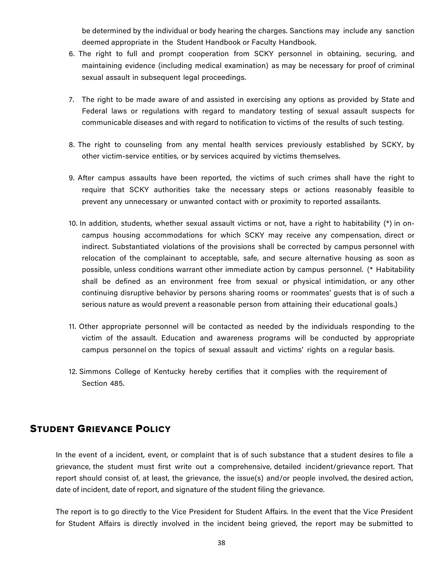be determined by the individual or body hearing the charges. Sanctions may include any sanction deemed appropriate in the Student Handbook or Faculty Handbook.

- 6. The right to full and prompt cooperation from SCKY personnel in obtaining, securing, and maintaining evidence (including medical examination) as may be necessary for proof of criminal sexual assault in subsequent legal proceedings.
- 7. The right to be made aware of and assisted in exercising any options as provided by State and Federal laws or regulations with regard to mandatory testing of sexual assault suspects for communicable diseases and with regard to notification to victims of the results of such testing.
- 8. The right to counseling from any mental health services previously established by SCKY, by other victim-service entities, or by services acquired by victims themselves.
- 9. After campus assaults have been reported, the victims of such crimes shall have the right to require that SCKY authorities take the necessary steps or actions reasonably feasible to prevent any unnecessary or unwanted contact with or proximity to reported assailants.
- 10. In addition, students, whether sexual assault victims or not, have a right to habitability (\*) in oncampus housing accommodations for which SCKY may receive any compensation, direct or indirect. Substantiated violations of the provisions shall be corrected by campus personnel with relocation of the complainant to acceptable, safe, and secure alternative housing as soon as possible, unless conditions warrant other immediate action by campus personnel. (\* Habitability shall be defined as an environment free from sexual or physical intimidation, or any other continuing disruptive behavior by persons sharing rooms or roommates' guests that is of such a serious nature as would prevent a reasonable person from attaining their educational goals.)
- 11. Other appropriate personnel will be contacted as needed by the individuals responding to the victim of the assault. Education and awareness programs will be conducted by appropriate campus personnel on the topics of sexual assault and victims' rights on a regular basis.
- 12. Simmons College of Kentucky hereby certifies that it complies with the requirement of Section 485.

# STUDENT GRIEVANCE POLICY

In the event of a incident, event, or complaint that is of such substance that a student desires to file a grievance, the student must first write out a comprehensive, detailed incident/grievance report. That report should consist of, at least, the grievance, the issue(s) and/or people involved, the desired action, date of incident, date of report, and signature of the student filing the grievance.

The report is to go directly to the Vice President for Student Affairs. In the event that the Vice President for Student Affairs is directly involved in the incident being grieved, the report may be submitted to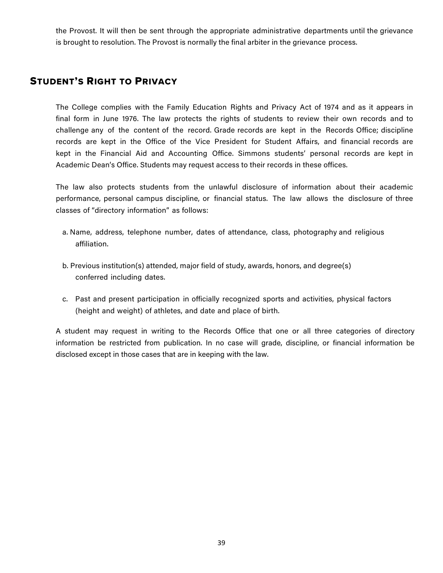the Provost. It will then be sent through the appropriate administrative departments until the grievance is brought to resolution. The Provost is normally the final arbiter in the grievance process.

# STUDENT'S RIGHT TO PRIVACY

The College complies with the Family Education Rights and Privacy Act of 1974 and as it appears in final form in June 1976. The law protects the rights of students to review their own records and to challenge any of the content of the record. Grade records are kept in the Records Office; discipline records are kept in the Office of the Vice President for Student Affairs, and financial records are kept in the Financial Aid and Accounting Office. Simmons students' personal records are kept in Academic Dean's Office. Students may request access to their records in these offices.

The law also protects students from the unlawful disclosure of information about their academic performance, personal campus discipline, or financial status. The law allows the disclosure of three classes of "directory information" as follows:

- a. Name, address, telephone number, dates of attendance, class, photography and religious affiliation.
- b. Previous institution(s) attended, major field of study, awards, honors, and degree(s) conferred including dates.
- c. Past and present participation in officially recognized sports and activities, physical factors (height and weight) of athletes, and date and place of birth.

A student may request in writing to the Records Office that one or all three categories of directory information be restricted from publication. In no case will grade, discipline, or financial information be disclosed except in those cases that are in keeping with the law.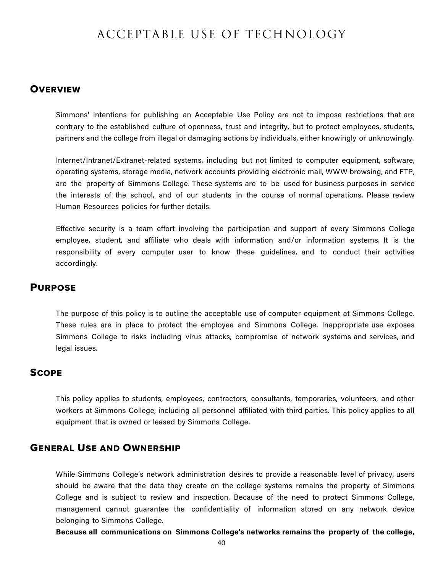# ACCEPTABLE USE OF TECHNOLOGY

#### **OVERVIEW**

Simmons' intentions for publishing an Acceptable Use Policy are not to impose restrictions that are contrary to the established culture of openness, trust and integrity, but to protect employees, students, partners and the college from illegal or damaging actions by individuals, either knowingly or unknowingly.

Internet/Intranet/Extranet-related systems, including but not limited to computer equipment, software, operating systems, storage media, network accounts providing electronic mail, WWW browsing, and FTP, are the property of Simmons College. These systems are to be used for business purposes in service the interests of the school, and of our students in the course of normal operations. Please review Human Resources policies for further details.

Effective security is a team effort involving the participation and support of every Simmons College employee, student, and affiliate who deals with information and/or information systems. It is the responsibility of every computer user to know these guidelines, and to conduct their activities accordingly.

# PURPOSE

The purpose of this policy is to outline the acceptable use of computer equipment at Simmons College. These rules are in place to protect the employee and Simmons College. Inappropriate use exposes Simmons College to risks including virus attacks, compromise of network systems and services, and legal issues.

#### **SCOPE**

This policy applies to students, employees, contractors, consultants, temporaries, volunteers, and other workers at Simmons College, including all personnel affiliated with third parties. This policy applies to all equipment that is owned or leased by Simmons College.

#### GENERAL USE AND OWNERSHIP

While Simmons College's network administration desires to provide a reasonable level of privacy, users should be aware that the data they create on the college systems remains the property of Simmons College and is subject to review and inspection. Because of the need to protect Simmons College, management cannot guarantee the confidentiality of information stored on any network device belonging to Simmons College.

**Because all communications on Simmons College's networks remains the property of the college,**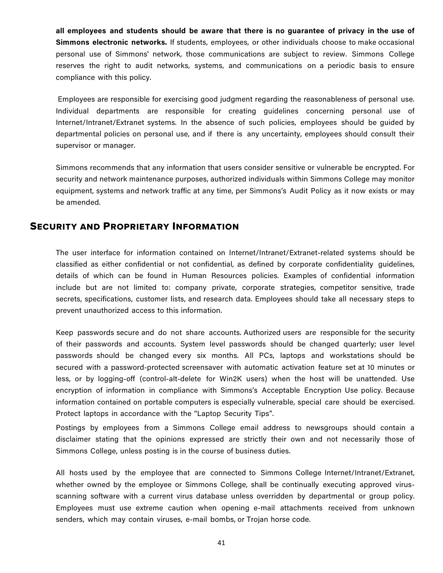**all employees and students should be aware that there is no guarantee of privacy in the use of Simmons electronic networks.** If students, employees, or other individuals choose to make occasional personal use of Simmons' network, those communications are subject to review. Simmons College reserves the right to audit networks, systems, and communications on a periodic basis to ensure compliance with this policy.

Employees are responsible for exercising good judgment regarding the reasonableness of personal use. Individual departments are responsible for creating guidelines concerning personal use of Internet/Intranet/Extranet systems. In the absence of such policies, employees should be guided by departmental policies on personal use, and if there is any uncertainty, employees should consult their supervisor or manager.

Simmons recommends that any information that users consider sensitive or vulnerable be encrypted. For security and network maintenance purposes, authorized individuals within Simmons College may monitor equipment, systems and network traffic at any time, per Simmons's Audit Policy as it now exists or may be amended.

#### SECURITY AND PROPRIETARY INFORMATION

The user interface for information contained on Internet/Intranet/Extranet-related systems should be classified as either confidential or not confidential, as defined by corporate confidentiality guidelines, details of which can be found in Human Resources policies. Examples of confidential information include but are not limited to: company private, corporate strategies, competitor sensitive, trade secrets, specifications, customer lists, and research data. Employees should take all necessary steps to prevent unauthorized access to this information.

Keep passwords secure and do not share accounts. Authorized users are responsible for the security of their passwords and accounts. System level passwords should be changed quarterly; user level passwords should be changed every six months. All PCs, laptops and workstations should be secured with a password-protected screensaver with automatic activation feature set at 10 minutes or less, or by logging-off (control-alt-delete for Win2K users) when the host will be unattended. Use encryption of information in compliance with Simmons's Acceptable Encryption Use policy. Because information contained on portable computers is especially vulnerable, special care should be exercised. Protect laptops in accordance with the "Laptop Security Tips".

Postings by employees from a Simmons College email address to newsgroups should contain a disclaimer stating that the opinions expressed are strictly their own and not necessarily those of Simmons College, unless posting is in the course of business duties.

All hosts used by the employee that are connected to Simmons College Internet/Intranet/Extranet, whether owned by the employee or Simmons College, shall be continually executing approved virusscanning software with a current virus database unless overridden by departmental or group policy. Employees must use extreme caution when opening e-mail attachments received from unknown senders, which may contain viruses, e-mail bombs, or Trojan horse code.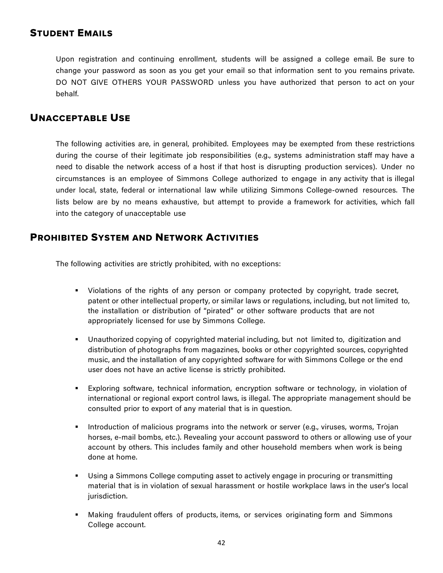# STUDENT EMAILS

Upon registration and continuing enrollment, students will be assigned a college email. Be sure to change your password as soon as you get your email so that information sent to you remains private. DO NOT GIVE OTHERS YOUR PASSWORD unless you have authorized that person to act on your behalf.

# UNACCEPTABLE USE

The following activities are, in general, prohibited. Employees may be exempted from these restrictions during the course of their legitimate job responsibilities (e.g., systems administration staff may have a need to disable the network access of a host if that host is disrupting production services). Under no circumstances is an employee of Simmons College authorized to engage in any activity that is illegal under local, state, federal or international law while utilizing Simmons College-owned resources. The lists below are by no means exhaustive, but attempt to provide a framework for activities, which fall into the category of unacceptable use

# PROHIBITED SYSTEM AND NETWORK ACTIVITIES

The following activities are strictly prohibited, with no exceptions:

- Violations of the rights of any person or company protected by copyright, trade secret, patent or other intellectual property, or similar laws or regulations, including, but not limited to, the installation or distribution of "pirated" or other software products that are not appropriately licensed for use by Simmons College.
- § Unauthorized copying of copyrighted material including, but not limited to, digitization and distribution of photographs from magazines, books or other copyrighted sources, copyrighted music, and the installation of any copyrighted software for with Simmons College or the end user does not have an active license is strictly prohibited.
- Exploring software, technical information, encryption software or technology, in violation of international or regional export control laws, is illegal. The appropriate management should be consulted prior to export of any material that is in question.
- Introduction of malicious programs into the network or server (e.g., viruses, worms, Trojan horses, e-mail bombs, etc.). Revealing your account password to others or allowing use of your account by others. This includes family and other household members when work is being done at home.
- Using a Simmons College computing asset to actively engage in procuring or transmitting material that is in violation of sexual harassment or hostile workplace laws in the user's local jurisdiction.
- § Making fraudulent offers of products, items, or services originating form and Simmons College account.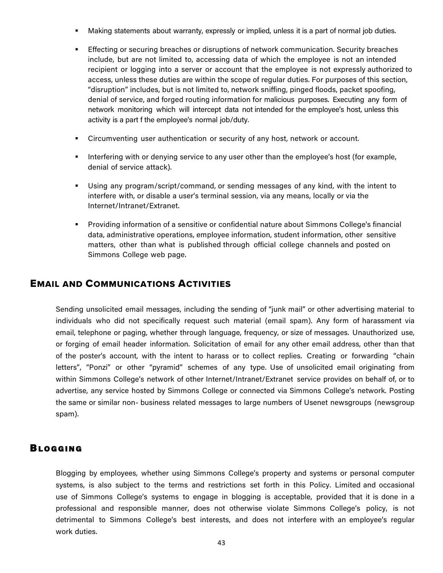- Making statements about warranty, expressly or implied, unless it is a part of normal job duties.
- § Effecting or securing breaches or disruptions of network communication. Security breaches include, but are not limited to, accessing data of which the employee is not an intended recipient or logging into a server or account that the employee is not expressly authorized to access, unless these duties are within the scope of regular duties. For purposes of this section, "disruption" includes, but is not limited to, network sniffing, pinged floods, packet spoofing, denial of service, and forged routing information for malicious purposes. Executing any form of network monitoring which will intercept data not intended for the employee's host, unless this activity is a part f the employee's normal job/duty.
- § Circumventing user authentication or security of any host, network or account.
- Interfering with or denying service to any user other than the employee's host (for example, denial of service attack).
- Using any program/script/command, or sending messages of any kind, with the intent to interfere with, or disable a user's terminal session, via any means, locally or via the Internet/Intranet/Extranet.
- § Providing information of a sensitive or confidential nature about Simmons College's financial data, administrative operations, employee information, student information, other sensitive matters, other than what is published through official college channels and posted on Simmons College web page.

# EMAIL AND COMMUNICATIONS ACTIVITIES

Sending unsolicited email messages, including the sending of "junk mail" or other advertising material to individuals who did not specifically request such material (email spam). Any form of harassment via email, telephone or paging, whether through language, frequency, or size of messages. Unauthorized use, or forging of email header information. Solicitation of email for any other email address, other than that of the poster's account, with the intent to harass or to collect replies. Creating or forwarding "chain letters", "Ponzi" or other "pyramid" schemes of any type. Use of unsolicited email originating from within Simmons College's network of other Internet/Intranet/Extranet service provides on behalf of, or to advertise, any service hosted by Simmons College or connected via Simmons College's network. Posting the same or similar non- business related messages to large numbers of Usenet newsgroups (newsgroup spam).

### **BLOGGING**

Blogging by employees, whether using Simmons College's property and systems or personal computer systems, is also subject to the terms and restrictions set forth in this Policy. Limited and occasional use of Simmons College's systems to engage in blogging is acceptable, provided that it is done in a professional and responsible manner, does not otherwise violate Simmons College's policy, is not detrimental to Simmons College's best interests, and does not interfere with an employee's regular work duties.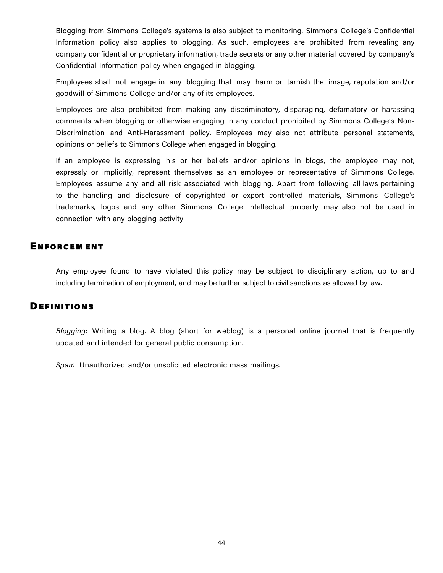Blogging from Simmons College's systems is also subject to monitoring. Simmons College's Confidential Information policy also applies to blogging. As such, employees are prohibited from revealing any company confidential or proprietary information, trade secrets or any other material covered by company's Confidential Information policy when engaged in blogging.

Employees shall not engage in any blogging that may harm or tarnish the image, reputation and/or goodwill of Simmons College and/or any of its employees.

Employees are also prohibited from making any discriminatory, disparaging, defamatory or harassing comments when blogging or otherwise engaging in any conduct prohibited by Simmons College's Non-Discrimination and Anti-Harassment policy. Employees may also not attribute personal statements, opinions or beliefs to Simmons College when engaged in blogging.

If an employee is expressing his or her beliefs and/or opinions in blogs, the employee may not, expressly or implicitly, represent themselves as an employee or representative of Simmons College. Employees assume any and all risk associated with blogging. Apart from following all laws pertaining to the handling and disclosure of copyrighted or export controlled materials, Simmons College's trademarks, logos and any other Simmons College intellectual property may also not be used in connection with any blogging activity.

#### ENFORCEM ENT

Any employee found to have violated this policy may be subject to disciplinary action, up to and including termination of employment, and may be further subject to civil sanctions as allowed by law.

#### **DEFINITIONS**

*Blogging*: Writing a blog. A blog (short for weblog) is a personal online journal that is frequently updated and intended for general public consumption.

*Spam*: Unauthorized and/or unsolicited electronic mass mailings.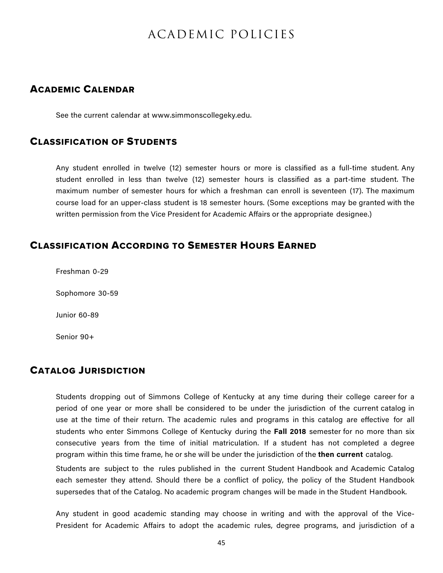# ACADEMIC POLICIES

# ACADEMIC CALENDAR

See the current calendar at www.simmonscollegeky.edu.

### CLASSIFICATION OF STUDENTS

Any student enrolled in twelve (12) semester hours or more is classified as a full-time student. Any student enrolled in less than twelve (12) semester hours is classified as a part-time student. The maximum number of semester hours for which a freshman can enroll is seventeen (17). The maximum course load for an upper-class student is 18 semester hours. (Some exceptions may be granted with the written permission from the Vice President for Academic Affairs or the appropriate designee.)

# CLASSIFICATION ACCORDING TO SEMESTER HOURS EARNED

Freshman 0-29

Sophomore 30-59

Junior 60-89

Senior 90+

# CATALOG JURISDICTION

Students dropping out of Simmons College of Kentucky at any time during their college career for a period of one year or more shall be considered to be under the jurisdiction of the current catalog in use at the time of their return. The academic rules and programs in this catalog are effective for all students who enter Simmons College of Kentucky during the **Fall 2018** semester for no more than six consecutive years from the time of initial matriculation. If a student has not completed a degree program within this time frame, he or she will be under the jurisdiction of the **then current** catalog.

Students are subject to the rules published in the current Student Handbook and Academic Catalog each semester they attend. Should there be a conflict of policy, the policy of the Student Handbook supersedes that of the Catalog. No academic program changes will be made in the Student Handbook.

Any student in good academic standing may choose in writing and with the approval of the Vice-President for Academic Affairs to adopt the academic rules, degree programs, and jurisdiction of a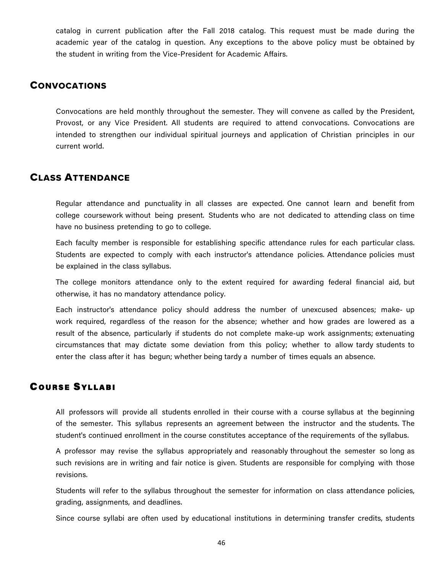catalog in current publication after the Fall 2018 catalog. This request must be made during the academic year of the catalog in question. Any exceptions to the above policy must be obtained by the student in writing from the Vice-President for Academic Affairs.

#### **CONVOCATIONS**

Convocations are held monthly throughout the semester. They will convene as called by the President, Provost, or any Vice President. All students are required to attend convocations. Convocations are intended to strengthen our individual spiritual journeys and application of Christian principles in our current world.

# CLASS ATTENDANCE

Regular attendance and punctuality in all classes are expected. One cannot learn and benefit from college coursework without being present. Students who are not dedicated to attending class on time have no business pretending to go to college.

Each faculty member is responsible for establishing specific attendance rules for each particular class. Students are expected to comply with each instructor's attendance policies. Attendance policies must be explained in the class syllabus.

The college monitors attendance only to the extent required for awarding federal financial aid, but otherwise, it has no mandatory attendance policy.

Each instructor's attendance policy should address the number of unexcused absences; make- up work required, regardless of the reason for the absence; whether and how grades are lowered as a result of the absence, particularly if students do not complete make-up work assignments; extenuating circumstances that may dictate some deviation from this policy; whether to allow tardy students to enter the class after it has begun; whether being tardy a number of times equals an absence.

# **COURSE SYLLABI**

All professors will provide all students enrolled in their course with a course syllabus at the beginning of the semester. This syllabus represents an agreement between the instructor and the students. The student's continued enrollment in the course constitutes acceptance of the requirements of the syllabus.

A professor may revise the syllabus appropriately and reasonably throughout the semester so long as such revisions are in writing and fair notice is given. Students are responsible for complying with those revisions.

Students will refer to the syllabus throughout the semester for information on class attendance policies, grading, assignments, and deadlines.

Since course syllabi are often used by educational institutions in determining transfer credits, students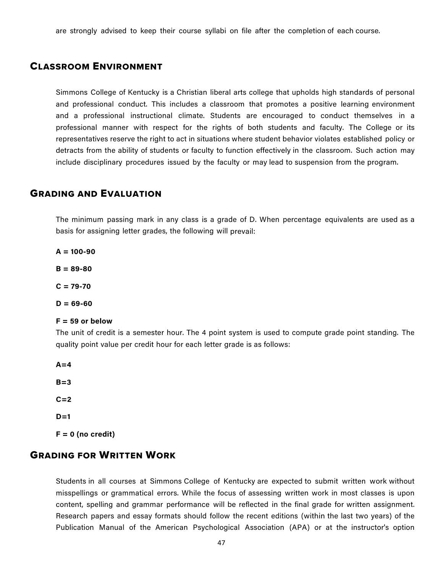are strongly advised to keep their course syllabi on file after the completion of each course.

# CLASSROOM ENVIRONMENT

Simmons College of Kentucky is a Christian liberal arts college that upholds high standards of personal and professional conduct. This includes a classroom that promotes a positive learning environment and a professional instructional climate. Students are encouraged to conduct themselves in a professional manner with respect for the rights of both students and faculty. The College or its representatives reserve the right to act in situations where student behavior violates established policy or detracts from the ability of students or faculty to function effectively in the classroom. Such action may include disciplinary procedures issued by the faculty or may lead to suspension from the program.

# GRADING AND EVALUATION

The minimum passing mark in any class is a grade of D. When percentage equivalents are used as a basis for assigning letter grades, the following will prevail:

**A = 100-90**

**B = 89-80**

**C = 79-70**

**D = 69-60**

#### **F = 59 or below**

The unit of credit is a semester hour. The 4 point system is used to compute grade point standing. The quality point value per credit hour for each letter grade is as follows:

**A=4 B=3 C=2 D=1 F = 0 (no credit)** 

# GRADING FOR WRITTEN WORK

Students in all courses at Simmons College of Kentucky are expected to submit written work without misspellings or grammatical errors. While the focus of assessing written work in most classes is upon content, spelling and grammar performance will be reflected in the final grade for written assignment. Research papers and essay formats should follow the recent editions (within the last two years) of the Publication Manual of the American Psychological Association (APA) or at the instructor's option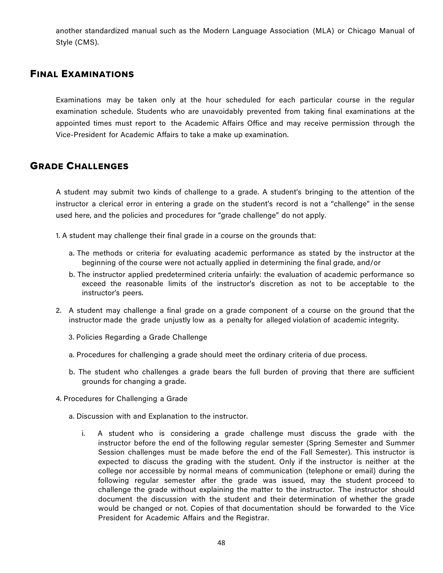another standardized manual such as the Modern Language Association (MLA) or Chicago Manual of Style (CMS).

#### FINAL EXAMINATIONS

Examinations may be taken only at the hour scheduled for each particular course in the regular examination schedule. Students who are unavoidably prevented from taking final examinations at the appointed times must report to the Academic Affairs Office and may receive permission through the Vice-President for Academic Affairs to take a make up examination.

# GRADE CHALLENGES

A student may submit two kinds of challenge to a grade. A student's bringing to the attention of the instructor a clerical error in entering a grade on the student's record is not a "challenge" in the sense used here, and the policies and procedures for "grade challenge" do not apply.

1. A student may challenge their final grade in a course on the grounds that:

- a. The methods or criteria for evaluating academic performance as stated by the instructor at the beginning of the course were not actually applied in determining the final grade, and/or
- b. The instructor applied predetermined criteria unfairly: the evaluation of academic performance so exceed the reasonable limits of the instructor's discretion as not to be acceptable to the instructor's peers.
- 2. A student may challenge a final grade on a grade component of a course on the ground that the instructor made the grade unjustly low as a penalty for alleged violation of academic integrity.
	- 3. Policies Regarding a Grade Challenge
	- a. Procedures for challenging a grade should meet the ordinary criteria of due process.
	- b. The student who challenges a grade bears the full burden of proving that there are sufficient grounds for changing a grade.
- 4. Procedures for Challenging a Grade
	- a. Discussion with and Explanation to the instructor.
		- i. A student who is considering a grade challenge must discuss the grade with the instructor before the end of the following regular semester (Spring Semester and Summer Session challenges must be made before the end of the Fall Semester). This instructor is expected to discuss the grading with the student. Only if the instructor is neither at the college nor accessible by normal means of communication (telephone or email) during the following regular semester after the grade was issued, may the student proceed to challenge the grade without explaining the matter to the instructor. The instructor should document the discussion with the student and their determination of whether the grade would be changed or not. Copies of that documentation should be forwarded to the Vice President for Academic Affairs and the Registrar.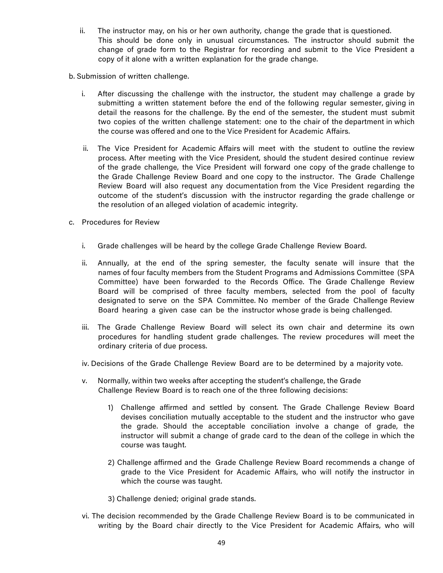- ii. The instructor may, on his or her own authority, change the grade that is questioned. This should be done only in unusual circumstances. The instructor should submit the change of grade form to the Registrar for recording and submit to the Vice President a copy of it alone with a written explanation for the grade change.
- b. Submission of written challenge.
	- i. After discussing the challenge with the instructor, the student may challenge a grade by submitting a written statement before the end of the following regular semester, giving in detail the reasons for the challenge. By the end of the semester, the student must submit two copies of the written challenge statement: one to the chair of the department in which the course was offered and one to the Vice President for Academic Affairs.
	- ii. The Vice President for Academic Affairs will meet with the student to outline the review process. After meeting with the Vice President, should the student desired continue review of the grade challenge, the Vice President will forward one copy of the grade challenge to the Grade Challenge Review Board and one copy to the instructor. The Grade Challenge Review Board will also request any documentation from the Vice President regarding the outcome of the student's discussion with the instructor regarding the grade challenge or the resolution of an alleged violation of academic integrity.
- c. Procedures for Review
	- i. Grade challenges will be heard by the college Grade Challenge Review Board.
	- ii. Annually, at the end of the spring semester, the faculty senate will insure that the names of four faculty members from the Student Programs and Admissions Committee (SPA Committee) have been forwarded to the Records Office. The Grade Challenge Review Board will be comprised of three faculty members, selected from the pool of faculty designated to serve on the SPA Committee. No member of the Grade Challenge Review Board hearing a given case can be the instructor whose grade is being challenged.
	- iii. The Grade Challenge Review Board will select its own chair and determine its own procedures for handling student grade challenges. The review procedures will meet the ordinary criteria of due process.
	- iv. Decisions of the Grade Challenge Review Board are to be determined by a majority vote.
	- v. Normally, within two weeks after accepting the student's challenge, the Grade Challenge Review Board is to reach one of the three following decisions:
		- 1) Challenge affirmed and settled by consent. The Grade Challenge Review Board devises conciliation mutually acceptable to the student and the instructor who gave the grade. Should the acceptable conciliation involve a change of grade, the instructor will submit a change of grade card to the dean of the college in which the course was taught.
		- 2) Challenge affirmed and the Grade Challenge Review Board recommends a change of grade to the Vice President for Academic Affairs, who will notify the instructor in which the course was taught.
		- 3) Challenge denied; original grade stands.
	- vi. The decision recommended by the Grade Challenge Review Board is to be communicated in writing by the Board chair directly to the Vice President for Academic Affairs, who will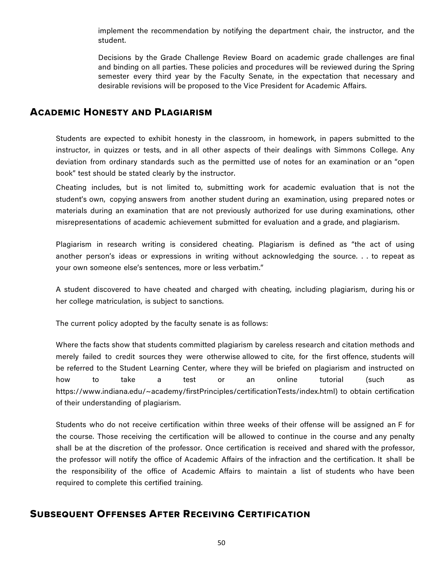implement the recommendation by notifying the department chair, the instructor, and the student.

Decisions by the Grade Challenge Review Board on academic grade challenges are final and binding on all parties. These policies and procedures will be reviewed during the Spring semester every third year by the Faculty Senate, in the expectation that necessary and desirable revisions will be proposed to the Vice President for Academic Affairs.

# ACADEMIC HONESTY AND PLAGIARISM

Students are expected to exhibit honesty in the classroom, in homework, in papers submitted to the instructor, in quizzes or tests, and in all other aspects of their dealings with Simmons College. Any deviation from ordinary standards such as the permitted use of notes for an examination or an "open book" test should be stated clearly by the instructor.

Cheating includes, but is not limited to, submitting work for academic evaluation that is not the student's own, copying answers from another student during an examination, using prepared notes or materials during an examination that are not previously authorized for use during examinations, other misrepresentations of academic achievement submitted for evaluation and a grade, and plagiarism.

Plagiarism in research writing is considered cheating. Plagiarism is defined as "the act of using another person's ideas or expressions in writing without acknowledging the source. . . to repeat as your own someone else's sentences, more or less verbatim."

A student discovered to have cheated and charged with cheating, including plagiarism, during his or her college matriculation, is subject to sanctions.

The current policy adopted by the faculty senate is as follows:

Where the facts show that students committed plagiarism by careless research and citation methods and merely failed to credit sources they were otherwise allowed to cite, for the first offence, students will be referred to the Student Learning Center, where they will be briefed on plagiarism and instructed on how to take a test or an online tutorial (such as https://www.indiana.edu/~academy/firstPrinciples/certificationTests/index.html) to obtain certification of their understanding of plagiarism.

Students who do not receive certification within three weeks of their offense will be assigned an F for the course. Those receiving the certification will be allowed to continue in the course and any penalty shall be at the discretion of the professor. Once certification is received and shared with the professor, the professor will notify the office of Academic Affairs of the infraction and the certification. It shall be the responsibility of the office of Academic Affairs to maintain a list of students who have been required to complete this certified training.

# SUBSEQUENT OFFENSES AFTER RECEIVING CERTIFICATION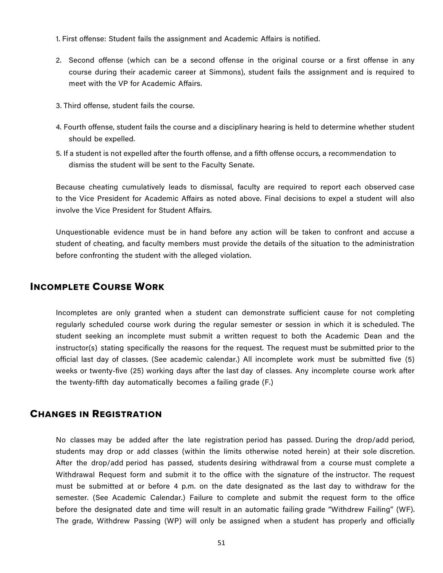1. First offense: Student fails the assignment and Academic Affairs is notified.

- 2. Second offense (which can be a second offense in the original course or a first offense in any course during their academic career at Simmons), student fails the assignment and is required to meet with the VP for Academic Affairs.
- 3. Third offense, student fails the course.
- 4. Fourth offense, student fails the course and a disciplinary hearing is held to determine whether student should be expelled.
- 5. If a student is not expelled after the fourth offense, and a fifth offense occurs, a recommendation to dismiss the student will be sent to the Faculty Senate.

Because cheating cumulatively leads to dismissal, faculty are required to report each observed case to the Vice President for Academic Affairs as noted above. Final decisions to expel a student will also involve the Vice President for Student Affairs.

Unquestionable evidence must be in hand before any action will be taken to confront and accuse a student of cheating, and faculty members must provide the details of the situation to the administration before confronting the student with the alleged violation.

# INCOMPLETE COURSE WORK

Incompletes are only granted when a student can demonstrate sufficient cause for not completing regularly scheduled course work during the regular semester or session in which it is scheduled. The student seeking an incomplete must submit a written request to both the Academic Dean and the instructor(s) stating specifically the reasons for the request. The request must be submitted prior to the official last day of classes. (See academic calendar.) All incomplete work must be submitted five (5) weeks or twenty-five (25) working days after the last day of classes. Any incomplete course work after the twenty-fifth day automatically becomes a failing grade (F.)

### CHANGES IN REGISTRATION

No classes may be added after the late registration period has passed. During the drop/add period, students may drop or add classes (within the limits otherwise noted herein) at their sole discretion. After the drop/add period has passed, students desiring withdrawal from a course must complete a Withdrawal Request form and submit it to the office with the signature of the instructor. The request must be submitted at or before 4 p.m. on the date designated as the last day to withdraw for the semester. (See Academic Calendar.) Failure to complete and submit the request form to the office before the designated date and time will result in an automatic failing grade "Withdrew Failing" (WF). The grade, Withdrew Passing (WP) will only be assigned when a student has properly and officially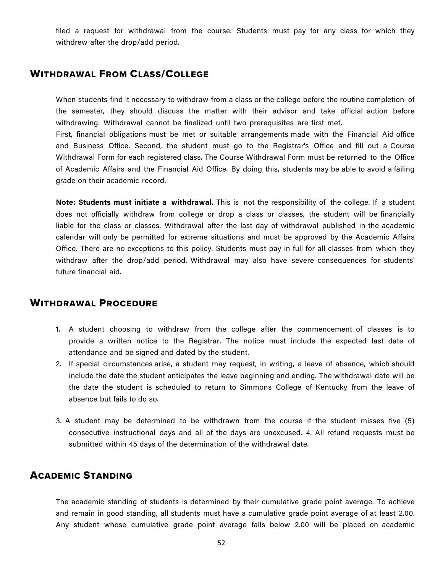filed a request for withdrawal from the course. Students must pay for any class for which they withdrew after the drop/add period.

### WITHDRAWAL FROM CLASS/COLLEGE

When students find it necessary to withdraw from a class or the college before the routine completion of the semester, they should discuss the matter with their advisor and take official action before withdrawing. Withdrawal cannot be finalized until two prerequisites are first met.

First, financial obligations must be met or suitable arrangements made with the Financial Aid office and Business Office. Second, the student must go to the Registrar's Office and fill out a Course Withdrawal Form for each registered class. The Course Withdrawal Form must be returned to the Office of Academic Affairs and the Financial Aid Office. By doing this, students may be able to avoid a failing grade on their academic record.

**Note: Students must initiate a withdrawal.** This is not the responsibility of the college. If a student does not officially withdraw from college or drop a class or classes, the student will be financially liable for the class or classes. Withdrawal after the last day of withdrawal published in the academic calendar will only be permitted for extreme situations and must be approved by the Academic Affairs Office. There are no exceptions to this policy. Students must pay in full for all classes from which they withdraw after the drop/add period. Withdrawal may also have severe consequences for students' future financial aid.

# WITHDRAWAL PROCEDURE

- 1. A student choosing to withdraw from the college after the commencement of classes is to provide a written notice to the Registrar. The notice must include the expected last date of attendance and be signed and dated by the student.
- 2. If special circumstances arise, a student may request, in writing, a leave of absence, which should include the date the student anticipates the leave beginning and ending. The withdrawal date will be the date the student is scheduled to return to Simmons College of Kentucky from the leave of absence but fails to do so.
- 3. A student may be determined to be withdrawn from the course if the student misses five (5) consecutive instructional days and all of the days are unexcused. 4. All refund requests must be submitted within 45 days of the determination of the withdrawal date.

### ACADEMIC STANDING

The academic standing of students is determined by their cumulative grade point average. To achieve and remain in good standing, all students must have a cumulative grade point average of at least 2.00. Any student whose cumulative grade point average falls below 2.00 will be placed on academic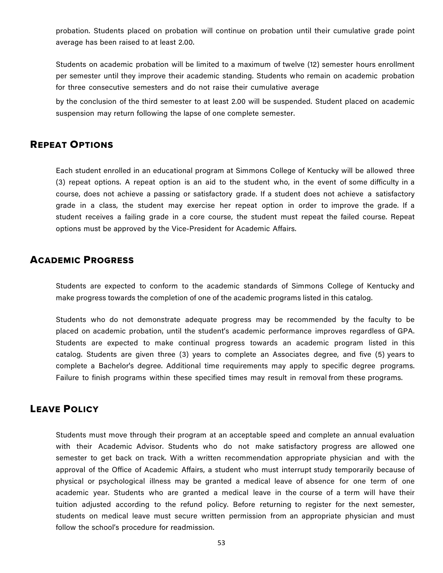probation. Students placed on probation will continue on probation until their cumulative grade point average has been raised to at least 2.00.

Students on academic probation will be limited to a maximum of twelve (12) semester hours enrollment per semester until they improve their academic standing. Students who remain on academic probation for three consecutive semesters and do not raise their cumulative average

by the conclusion of the third semester to at least 2.00 will be suspended. Student placed on academic suspension may return following the lapse of one complete semester.

# REPEAT OPTIONS

Each student enrolled in an educational program at Simmons College of Kentucky will be allowed three (3) repeat options. A repeat option is an aid to the student who, in the event of some difficulty in a course, does not achieve a passing or satisfactory grade. If a student does not achieve a satisfactory grade in a class, the student may exercise her repeat option in order to improve the grade. If a student receives a failing grade in a core course, the student must repeat the failed course. Repeat options must be approved by the Vice-President for Academic Affairs.

# ACADEMIC PROGRESS

Students are expected to conform to the academic standards of Simmons College of Kentucky and make progress towards the completion of one of the academic programs listed in this catalog.

Students who do not demonstrate adequate progress may be recommended by the faculty to be placed on academic probation, until the student's academic performance improves regardless of GPA. Students are expected to make continual progress towards an academic program listed in this catalog. Students are given three (3) years to complete an Associates degree, and five (5) years to complete a Bachelor's degree. Additional time requirements may apply to specific degree programs. Failure to finish programs within these specified times may result in removal from these programs.

# LEAVE POLICY

Students must move through their program at an acceptable speed and complete an annual evaluation with their Academic Advisor. Students who do not make satisfactory progress are allowed one semester to get back on track. With a written recommendation appropriate physician and with the approval of the Office of Academic Affairs, a student who must interrupt study temporarily because of physical or psychological illness may be granted a medical leave of absence for one term of one academic year. Students who are granted a medical leave in the course of a term will have their tuition adjusted according to the refund policy. Before returning to register for the next semester, students on medical leave must secure written permission from an appropriate physician and must follow the school's procedure for readmission.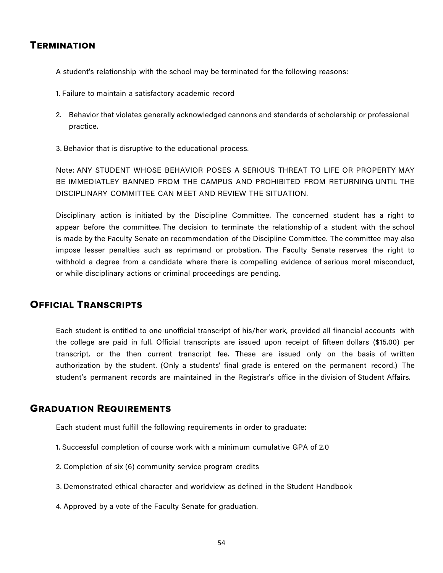### **TERMINATION**

A student's relationship with the school may be terminated for the following reasons:

- 1. Failure to maintain a satisfactory academic record
- 2. Behavior that violates generally acknowledged cannons and standards of scholarship or professional practice.
- 3. Behavior that is disruptive to the educational process.

Note: ANY STUDENT WHOSE BEHAVIOR POSES A SERIOUS THREAT TO LIFE OR PROPERTY MAY BE IMMEDIATLEY BANNED FROM THE CAMPUS AND PROHIBITED FROM RETURNING UNTIL THE DISCIPLINARY COMMITTEE CAN MEET AND REVIEW THE SITUATION.

Disciplinary action is initiated by the Discipline Committee. The concerned student has a right to appear before the committee. The decision to terminate the relationship of a student with the school is made by the Faculty Senate on recommendation of the Discipline Committee. The committee may also impose lesser penalties such as reprimand or probation. The Faculty Senate reserves the right to withhold a degree from a candidate where there is compelling evidence of serious moral misconduct, or while disciplinary actions or criminal proceedings are pending.

# OFFICIAL TRANSCRIPTS

Each student is entitled to one unofficial transcript of his/her work, provided all financial accounts with the college are paid in full. Official transcripts are issued upon receipt of fifteen dollars (\$15.00) per transcript, or the then current transcript fee. These are issued only on the basis of written authorization by the student. (Only a students' final grade is entered on the permanent record.) The student's permanent records are maintained in the Registrar's office in the division of Student Affairs.

# GRADUATION REQUIREMENTS

Each student must fulfill the following requirements in order to graduate:

- 1. Successful completion of course work with a minimum cumulative GPA of 2.0
- 2. Completion of six (6) community service program credits
- 3. Demonstrated ethical character and worldview as defined in the Student Handbook
- 4. Approved by a vote of the Faculty Senate for graduation.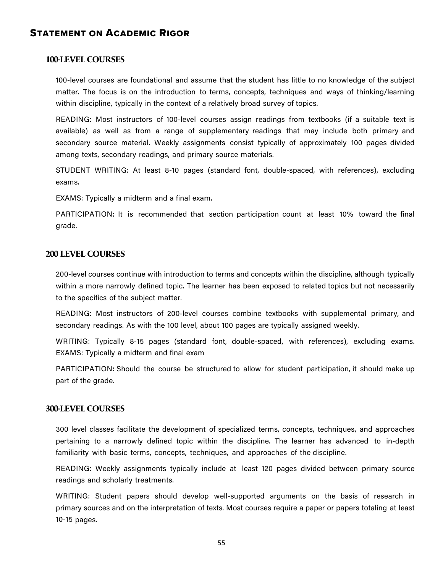# STATEMENT ON ACADEMIC RIGOR

#### **100-LEVEL COURSES**

100-level courses are foundational and assume that the student has little to no knowledge of the subject matter. The focus is on the introduction to terms, concepts, techniques and ways of thinking/learning within discipline, typically in the context of a relatively broad survey of topics.

READING: Most instructors of 100-level courses assign readings from textbooks (if a suitable text is available) as well as from a range of supplementary readings that may include both primary and secondary source material. Weekly assignments consist typically of approximately 100 pages divided among texts, secondary readings, and primary source materials.

STUDENT WRITING: At least 8-10 pages (standard font, double-spaced, with references), excluding exams.

EXAMS: Typically a midterm and a final exam.

PARTICIPATION: It is recommended that section participation count at least 10% toward the final grade.

#### **200 LEVEL COURSES**

200-level courses continue with introduction to terms and concepts within the discipline, although typically within a more narrowly defined topic. The learner has been exposed to related topics but not necessarily to the specifics of the subject matter.

READING: Most instructors of 200-level courses combine textbooks with supplemental primary, and secondary readings. As with the 100 level, about 100 pages are typically assigned weekly.

WRITING: Typically 8-15 pages (standard font, double-spaced, with references), excluding exams. EXAMS: Typically a midterm and final exam

PARTICIPATION: Should the course be structured to allow for student participation, it should make up part of the grade.

#### **300-LEVEL COURSES**

300 level classes facilitate the development of specialized terms, concepts, techniques, and approaches pertaining to a narrowly defined topic within the discipline. The learner has advanced to in-depth familiarity with basic terms, concepts, techniques, and approaches of the discipline.

READING: Weekly assignments typically include at least 120 pages divided between primary source readings and scholarly treatments.

WRITING: Student papers should develop well-supported arguments on the basis of research in primary sources and on the interpretation of texts. Most courses require a paper or papers totaling at least 10-15 pages.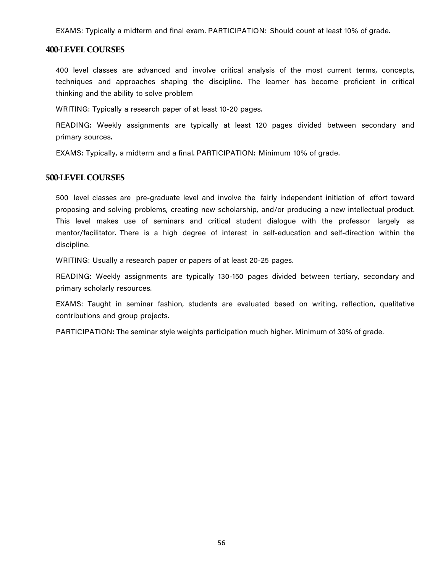EXAMS: Typically a midterm and final exam. PARTICIPATION: Should count at least 10% of grade.

#### **400-LEVEL COURSES**

400 level classes are advanced and involve critical analysis of the most current terms, concepts, techniques and approaches shaping the discipline. The learner has become proficient in critical thinking and the ability to solve problem

WRITING: Typically a research paper of at least 10-20 pages.

READING: Weekly assignments are typically at least 120 pages divided between secondary and primary sources.

EXAMS: Typically, a midterm and a final. PARTICIPATION: Minimum 10% of grade.

#### **500-LEVEL COURSES**

500 level classes are pre-graduate level and involve the fairly independent initiation of effort toward proposing and solving problems, creating new scholarship, and/or producing a new intellectual product. This level makes use of seminars and critical student dialogue with the professor largely as mentor/facilitator. There is a high degree of interest in self-education and self-direction within the discipline.

WRITING: Usually a research paper or papers of at least 20-25 pages.

READING: Weekly assignments are typically 130-150 pages divided between tertiary, secondary and primary scholarly resources.

EXAMS: Taught in seminar fashion, students are evaluated based on writing, reflection, qualitative contributions and group projects.

PARTICIPATION: The seminar style weights participation much higher. Minimum of 30% of grade.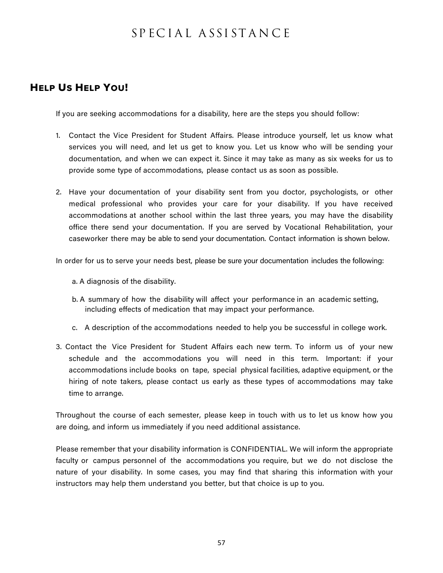# SP EC I A L A SSI ST A N C E

# HELP US HELP YOU!

If you are seeking accommodations for a disability, here are the steps you should follow:

- 1. Contact the Vice President for Student Affairs. Please introduce yourself, let us know what services you will need, and let us get to know you. Let us know who will be sending your documentation, and when we can expect it. Since it may take as many as six weeks for us to provide some type of accommodations, please contact us as soon as possible.
- 2. Have your documentation of your disability sent from you doctor, psychologists, or other medical professional who provides your care for your disability. If you have received accommodations at another school within the last three years, you may have the disability office there send your documentation. If you are served by Vocational Rehabilitation, your caseworker there may be able to send your documentation. Contact information is shown below.

In order for us to serve your needs best, please be sure your documentation includes the following:

a. A diagnosis of the disability.

- b. A summary of how the disability will affect your performance in an academic setting, including effects of medication that may impact your performance.
- c. A description of the accommodations needed to help you be successful in college work.
- 3. Contact the Vice President for Student Affairs each new term. To inform us of your new schedule and the accommodations you will need in this term. Important: if your accommodations include books on tape, special physical facilities, adaptive equipment, or the hiring of note takers, please contact us early as these types of accommodations may take time to arrange.

Throughout the course of each semester, please keep in touch with us to let us know how you are doing, and inform us immediately if you need additional assistance.

Please remember that your disability information is CONFIDENTIAL. We will inform the appropriate faculty or campus personnel of the accommodations you require, but we do not disclose the nature of your disability. In some cases, you may find that sharing this information with your instructors may help them understand you better, but that choice is up to you.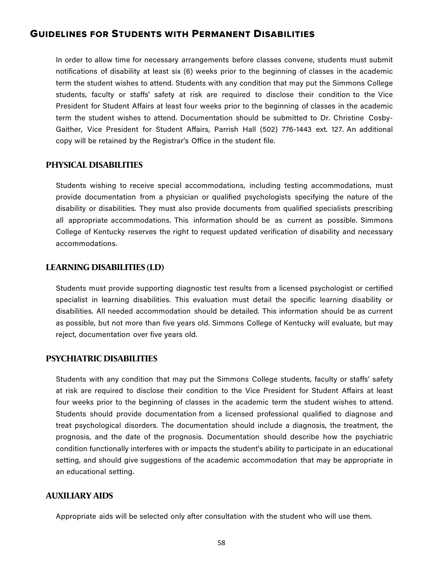# GUIDELINES FOR STUDENTS WITH PERMANENT DISABILITIES

In order to allow time for necessary arrangements before classes convene, students must submit notifications of disability at least six (6) weeks prior to the beginning of classes in the academic term the student wishes to attend. Students with any condition that may put the Simmons College students, faculty or staffs' safety at risk are required to disclose their condition to the Vice President for Student Affairs at least four weeks prior to the beginning of classes in the academic term the student wishes to attend. Documentation should be submitted to Dr. Christine Cosby-Gaither, Vice President for Student Affairs, Parrish Hall (502) 776-1443 ext. 127. An additional copy will be retained by the Registrar's Office in the student file.

#### **PHYSICAL DISABILITIES**

Students wishing to receive special accommodations, including testing accommodations, must provide documentation from a physician or qualified psychologists specifying the nature of the disability or disabilities. They must also provide documents from qualified specialists prescribing all appropriate accommodations. This information should be as current as possible. Simmons College of Kentucky reserves the right to request updated verification of disability and necessary accommodations.

#### **LEARNING DISABILITIES (LD)**

Students must provide supporting diagnostic test results from a licensed psychologist or certified specialist in learning disabilities. This evaluation must detail the specific learning disability or disabilities. All needed accommodation should be detailed. This information should be as current as possible, but not more than five years old. Simmons College of Kentucky will evaluate, but may reject, documentation over five years old.

#### **PSYCHIATRIC DISABILITIES**

Students with any condition that may put the Simmons College students, faculty or staffs' safety at risk are required to disclose their condition to the Vice President for Student Affairs at least four weeks prior to the beginning of classes in the academic term the student wishes to attend. Students should provide documentation from a licensed professional qualified to diagnose and treat psychological disorders. The documentation should include a diagnosis, the treatment, the prognosis, and the date of the prognosis. Documentation should describe how the psychiatric condition functionally interferes with or impacts the student's ability to participate in an educational setting, and should give suggestions of the academic accommodation that may be appropriate in an educational setting.

#### **AUXILIARY AIDS**

Appropriate aids will be selected only after consultation with the student who will use them.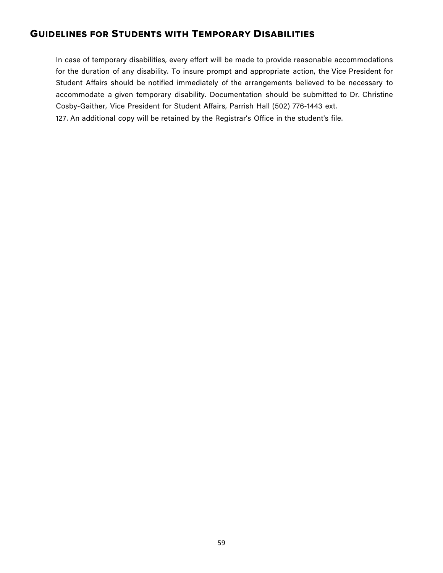# GUIDELINES FOR STUDENTS WITH TEMPORARY DISABILITIES

In case of temporary disabilities, every effort will be made to provide reasonable accommodations for the duration of any disability. To insure prompt and appropriate action, the Vice President for Student Affairs should be notified immediately of the arrangements believed to be necessary to accommodate a given temporary disability. Documentation should be submitted to Dr. Christine Cosby-Gaither, Vice President for Student Affairs, Parrish Hall (502) 776-1443 ext. 127. An additional copy will be retained by the Registrar's Office in the student's file.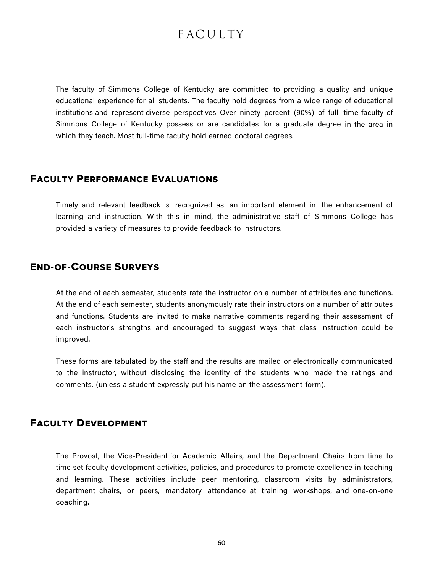# **FACULTY**

The faculty of Simmons College of Kentucky are committed to providing a quality and unique educational experience for all students. The faculty hold degrees from a wide range of educational institutions and represent diverse perspectives. Over ninety percent (90%) of full- time faculty of Simmons College of Kentucky possess or are candidates for a graduate degree in the area in which they teach. Most full-time faculty hold earned doctoral degrees.

# FACULTY PERFORMANCE EVALUATIONS

Timely and relevant feedback is recognized as an important element in the enhancement of learning and instruction. With this in mind, the administrative staff of Simmons College has provided a variety of measures to provide feedback to instructors.

#### END-OF-COURSE SURVEYS

At the end of each semester, students rate the instructor on a number of attributes and functions. At the end of each semester, students anonymously rate their instructors on a number of attributes and functions. Students are invited to make narrative comments regarding their assessment of each instructor's strengths and encouraged to suggest ways that class instruction could be improved.

These forms are tabulated by the staff and the results are mailed or electronically communicated to the instructor, without disclosing the identity of the students who made the ratings and comments, (unless a student expressly put his name on the assessment form).

### FACULTY DEVELOPMENT

The Provost, the Vice-President for Academic Affairs, and the Department Chairs from time to time set faculty development activities, policies, and procedures to promote excellence in teaching and learning. These activities include peer mentoring, classroom visits by administrators, department chairs, or peers, mandatory attendance at training workshops, and one-on-one coaching.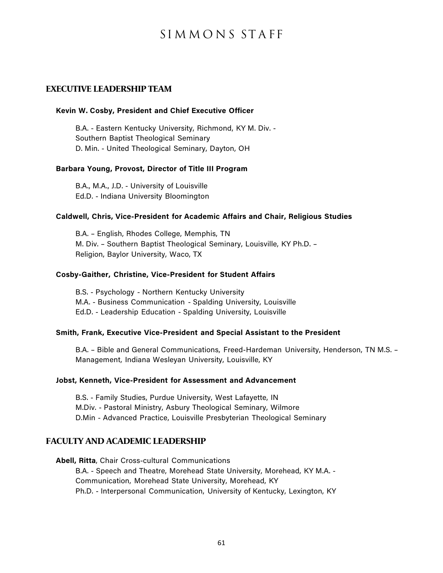# SI M M O N S ST A FF

#### **EXECUTIVE LEADERSHIP TEAM**

#### **Kevin W. Cosby, President and Chief Executive Officer**

B.A. - Eastern Kentucky University, Richmond, KY M. Div. - Southern Baptist Theological Seminary D. Min. - United Theological Seminary, Dayton, OH

#### **Barbara Young, Provost, Director of Title III Program**

B.A., M.A., J.D. - University of Louisville Ed.D. - Indiana University Bloomington

#### **Caldwell, Chris, Vice-President for Academic Affairs and Chair, Religious Studies**

B.A. – English, Rhodes College, Memphis, TN M. Div. – Southern Baptist Theological Seminary, Louisville, KY Ph.D. – Religion, Baylor University, Waco, TX

#### **Cosby-Gaither, Christine, Vice-President for Student Affairs**

B.S. - Psychology - Northern Kentucky University M.A. - Business Communication - Spalding University, Louisville Ed.D. - Leadership Education - Spalding University, Louisville

#### **Smith, Frank, Executive Vice-President and Special Assistant to the President**

B.A. – Bible and General Communications, Freed-Hardeman University, Henderson, TN M.S. – Management, Indiana Wesleyan University, Louisville, KY

#### **Jobst, Kenneth, Vice-President for Assessment and Advancement**

B.S. - Family Studies, Purdue University, West Lafayette, IN M.Div. - Pastoral Ministry, Asbury Theological Seminary, Wilmore D.Min - Advanced Practice, Louisville Presbyterian Theological Seminary

#### **FACULTY AND ACADEMIC LEADERSHIP**

**Abell, Ritta**, Chair Cross-cultural Communications

B.A. - Speech and Theatre, Morehead State University, Morehead, KY M.A. - Communication, Morehead State University, Morehead, KY Ph.D. - Interpersonal Communication, University of Kentucky, Lexington, KY